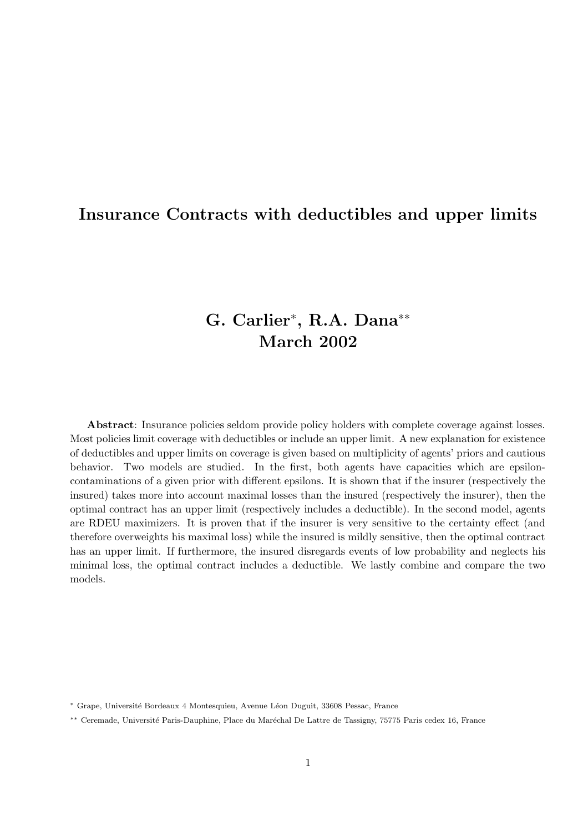## Insurance Contracts with deductibles and upper limits

# G. Carlier<sup>∗</sup> , R.A. Dana∗∗ March 2002

Abstract: Insurance policies seldom provide policy holders with complete coverage against losses. Most policies limit coverage with deductibles or include an upper limit. A new explanation for existence of deductibles and upper limits on coverage is given based on multiplicity of agents' priors and cautious behavior. Two models are studied. In the first, both agents have capacities which are epsiloncontaminations of a given prior with different epsilons. It is shown that if the insurer (respectively the insured) takes more into account maximal losses than the insured (respectively the insurer), then the optimal contract has an upper limit (respectively includes a deductible). In the second model, agents are RDEU maximizers. It is proven that if the insurer is very sensitive to the certainty effect (and therefore overweights his maximal loss) while the insured is mildly sensitive, then the optimal contract has an upper limit. If furthermore, the insured disregards events of low probability and neglects his minimal loss, the optimal contract includes a deductible. We lastly combine and compare the two models.

<sup>∗</sup> Grape, Universit´e Bordeaux 4 Montesquieu, Avenue L´eon Duguit, 33608 Pessac, France

<sup>∗∗</sup> Ceremade, Universit´e Paris-Dauphine, Place du Mar´echal De Lattre de Tassigny, 75775 Paris cedex 16, France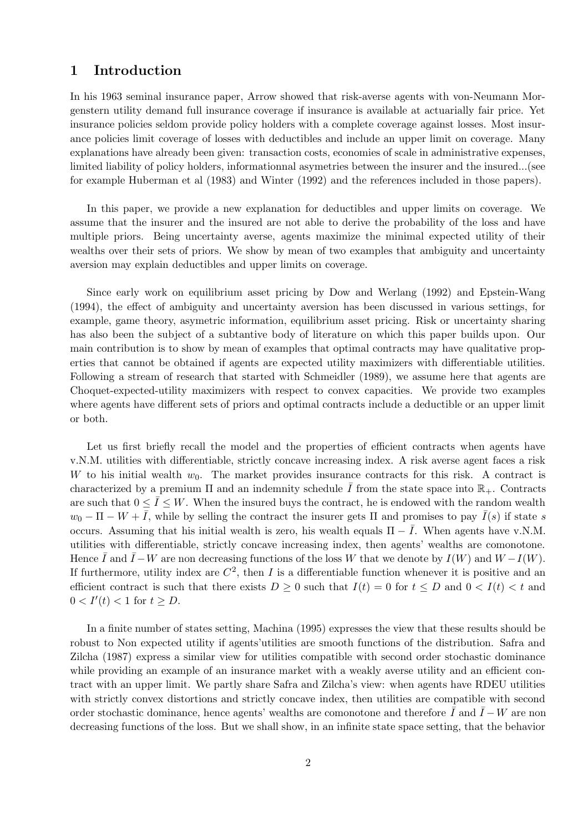## 1 Introduction

In his 1963 seminal insurance paper, Arrow showed that risk-averse agents with von-Neumann Morgenstern utility demand full insurance coverage if insurance is available at actuarially fair price. Yet insurance policies seldom provide policy holders with a complete coverage against losses. Most insurance policies limit coverage of losses with deductibles and include an upper limit on coverage. Many explanations have already been given: transaction costs, economies of scale in administrative expenses, limited liability of policy holders, informationnal asymetries between the insurer and the insured...(see for example Huberman et al (1983) and Winter (1992) and the references included in those papers).

In this paper, we provide a new explanation for deductibles and upper limits on coverage. We assume that the insurer and the insured are not able to derive the probability of the loss and have multiple priors. Being uncertainty averse, agents maximize the minimal expected utility of their wealths over their sets of priors. We show by mean of two examples that ambiguity and uncertainty aversion may explain deductibles and upper limits on coverage.

Since early work on equilibrium asset pricing by Dow and Werlang (1992) and Epstein-Wang (1994), the effect of ambiguity and uncertainty aversion has been discussed in various settings, for example, game theory, asymetric information, equilibrium asset pricing. Risk or uncertainty sharing has also been the subject of a subtantive body of literature on which this paper builds upon. Our main contribution is to show by mean of examples that optimal contracts may have qualitative properties that cannot be obtained if agents are expected utility maximizers with differentiable utilities. Following a stream of research that started with Schmeidler (1989), we assume here that agents are Choquet-expected-utility maximizers with respect to convex capacities. We provide two examples where agents have different sets of priors and optimal contracts include a deductible or an upper limit or both.

Let us first briefly recall the model and the properties of efficient contracts when agents have v.N.M. utilities with differentiable, strictly concave increasing index. A risk averse agent faces a risk W to his initial wealth  $w_0$ . The market provides insurance contracts for this risk. A contract is characterized by a premium  $\Pi$  and an indemnity schedule I from the state space into  $\mathbb{R}_+$ . Contracts are such that  $0 \leq \overline{I} \leq W$ . When the insured buys the contract, he is endowed with the random wealth  $w_0 - \Pi - W + \overline{I}$ , while by selling the contract the insurer gets  $\Pi$  and promises to pay  $\overline{I}(s)$  if state s occurs. Assuming that his initial wealth is zero, his wealth equals  $\Pi - \overline{I}$ . When agents have v.N.M. utilities with differentiable, strictly concave increasing index, then agents' wealths are comonotone. Hence  $\overline{I}$  and  $\overline{I}-W$  are non decreasing functions of the loss W that we denote by  $I(W)$  and  $W-I(W)$ . If furthermore, utility index are  $C^2$ , then I is a differentiable function whenever it is positive and an efficient contract is such that there exists  $D \geq 0$  such that  $I(t) = 0$  for  $t \leq D$  and  $0 < I(t) < t$  and  $0 < I'(t) < 1$  for  $t \ge D$ .

In a finite number of states setting, Machina (1995) expresses the view that these results should be robust to Non expected utility if agents'utilities are smooth functions of the distribution. Safra and Zilcha (1987) express a similar view for utilities compatible with second order stochastic dominance while providing an example of an insurance market with a weakly averse utility and an efficient contract with an upper limit. We partly share Safra and Zilcha's view: when agents have RDEU utilities with strictly convex distortions and strictly concave index, then utilities are compatible with second order stochastic dominance, hence agents' wealths are comonotone and therefore  $\bar{I}$  and  $\bar{I} - W$  are non decreasing functions of the loss. But we shall show, in an infinite state space setting, that the behavior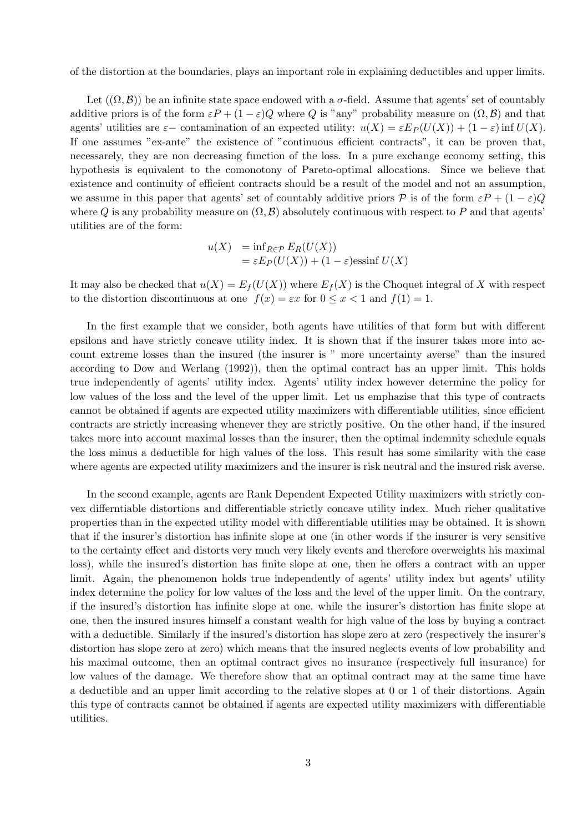of the distortion at the boundaries, plays an important role in explaining deductibles and upper limits.

Let  $((\Omega, \mathcal{B}))$  be an infinite state space endowed with a  $\sigma$ -field. Assume that agents' set of countably additive priors is of the form  $\varepsilon P + (1 - \varepsilon)Q$  where Q is "any" probability measure on  $(\Omega, \mathcal{B})$  and that agents' utilities are  $\varepsilon$  – contamination of an expected utility:  $u(X) = \varepsilon E_P(U(X)) + (1 - \varepsilon) \inf U(X)$ . If one assumes "ex-ante" the existence of "continuous efficient contracts", it can be proven that, necessarely, they are non decreasing function of the loss. In a pure exchange economy setting, this hypothesis is equivalent to the comonotony of Pareto-optimal allocations. Since we believe that existence and continuity of efficient contracts should be a result of the model and not an assumption, we assume in this paper that agents' set of countably additive priors P is of the form  $\varepsilon P + (1-\varepsilon)Q$ where Q is any probability measure on  $(\Omega, \mathcal{B})$  absolutely continuous with respect to P and that agents' utilities are of the form:

$$
u(X) = \inf_{R \in \mathcal{P}} E_R(U(X))
$$
  
=  $\varepsilon E_P(U(X)) + (1 - \varepsilon)$ essinf  $U(X)$ 

It may also be checked that  $u(X) = E_f(U(X))$  where  $E_f(X)$  is the Choquet integral of X with respect to the distortion discontinuous at one  $f(x) = \varepsilon x$  for  $0 \le x \le 1$  and  $f(1) = 1$ .

In the first example that we consider, both agents have utilities of that form but with different epsilons and have strictly concave utility index. It is shown that if the insurer takes more into account extreme losses than the insured (the insurer is " more uncertainty averse" than the insured according to Dow and Werlang (1992)), then the optimal contract has an upper limit. This holds true independently of agents' utility index. Agents' utility index however determine the policy for low values of the loss and the level of the upper limit. Let us emphazise that this type of contracts cannot be obtained if agents are expected utility maximizers with differentiable utilities, since efficient contracts are strictly increasing whenever they are strictly positive. On the other hand, if the insured takes more into account maximal losses than the insurer, then the optimal indemnity schedule equals the loss minus a deductible for high values of the loss. This result has some similarity with the case where agents are expected utility maximizers and the insurer is risk neutral and the insured risk averse.

In the second example, agents are Rank Dependent Expected Utility maximizers with strictly convex differntiable distortions and differentiable strictly concave utility index. Much richer qualitative properties than in the expected utility model with differentiable utilities may be obtained. It is shown that if the insurer's distortion has infinite slope at one (in other words if the insurer is very sensitive to the certainty effect and distorts very much very likely events and therefore overweights his maximal loss), while the insured's distortion has finite slope at one, then he offers a contract with an upper limit. Again, the phenomenon holds true independently of agents' utility index but agents' utility index determine the policy for low values of the loss and the level of the upper limit. On the contrary, if the insured's distortion has infinite slope at one, while the insurer's distortion has finite slope at one, then the insured insures himself a constant wealth for high value of the loss by buying a contract with a deductible. Similarly if the insured's distortion has slope zero at zero (respectively the insurer's distortion has slope zero at zero) which means that the insured neglects events of low probability and his maximal outcome, then an optimal contract gives no insurance (respectively full insurance) for low values of the damage. We therefore show that an optimal contract may at the same time have a deductible and an upper limit according to the relative slopes at 0 or 1 of their distortions. Again this type of contracts cannot be obtained if agents are expected utility maximizers with differentiable utilities.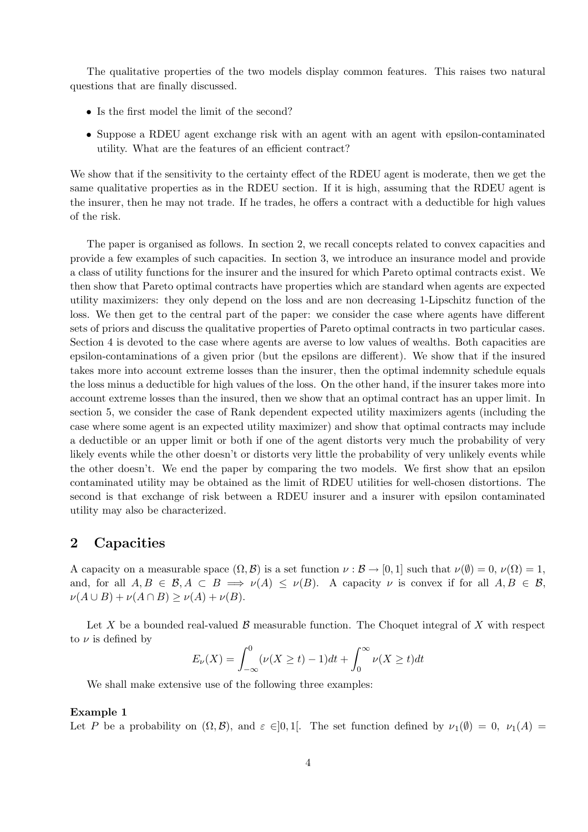The qualitative properties of the two models display common features. This raises two natural questions that are finally discussed.

- Is the first model the limit of the second?
- Suppose a RDEU agent exchange risk with an agent with an agent with epsilon-contaminated utility. What are the features of an efficient contract?

We show that if the sensitivity to the certainty effect of the RDEU agent is moderate, then we get the same qualitative properties as in the RDEU section. If it is high, assuming that the RDEU agent is the insurer, then he may not trade. If he trades, he offers a contract with a deductible for high values of the risk.

The paper is organised as follows. In section 2, we recall concepts related to convex capacities and provide a few examples of such capacities. In section 3, we introduce an insurance model and provide a class of utility functions for the insurer and the insured for which Pareto optimal contracts exist. We then show that Pareto optimal contracts have properties which are standard when agents are expected utility maximizers: they only depend on the loss and are non decreasing 1-Lipschitz function of the loss. We then get to the central part of the paper: we consider the case where agents have different sets of priors and discuss the qualitative properties of Pareto optimal contracts in two particular cases. Section 4 is devoted to the case where agents are averse to low values of wealths. Both capacities are epsilon-contaminations of a given prior (but the epsilons are different). We show that if the insured takes more into account extreme losses than the insurer, then the optimal indemnity schedule equals the loss minus a deductible for high values of the loss. On the other hand, if the insurer takes more into account extreme losses than the insured, then we show that an optimal contract has an upper limit. In section 5, we consider the case of Rank dependent expected utility maximizers agents (including the case where some agent is an expected utility maximizer) and show that optimal contracts may include a deductible or an upper limit or both if one of the agent distorts very much the probability of very likely events while the other doesn't or distorts very little the probability of very unlikely events while the other doesn't. We end the paper by comparing the two models. We first show that an epsilon contaminated utility may be obtained as the limit of RDEU utilities for well-chosen distortions. The second is that exchange of risk between a RDEU insurer and a insurer with epsilon contaminated utility may also be characterized.

### 2 Capacities

A capacity on a measurable space  $(\Omega, \mathcal{B})$  is a set function  $\nu : \mathcal{B} \to [0, 1]$  such that  $\nu(\emptyset) = 0$ ,  $\nu(\Omega) = 1$ , and, for all  $A, B \in \mathcal{B}, A \subset B \implies \nu(A) \leq \nu(B)$ . A capacity  $\nu$  is convex if for all  $A, B \in \mathcal{B}$ ,  $\nu(A \cup B) + \nu(A \cap B) \ge \nu(A) + \nu(B).$ 

Let X be a bounded real-valued B measurable function. The Choquet integral of X with respect to  $\nu$  is defined by

$$
E_{\nu}(X) = \int_{-\infty}^{0} (\nu(X \ge t) - 1)dt + \int_{0}^{\infty} \nu(X \ge t)dt
$$

We shall make extensive use of the following three examples:

#### Example 1

Let P be a probability on  $(\Omega, \mathcal{B})$ , and  $\varepsilon \in ]0,1[$ . The set function defined by  $\nu_1(\emptyset) = 0$ ,  $\nu_1(A) =$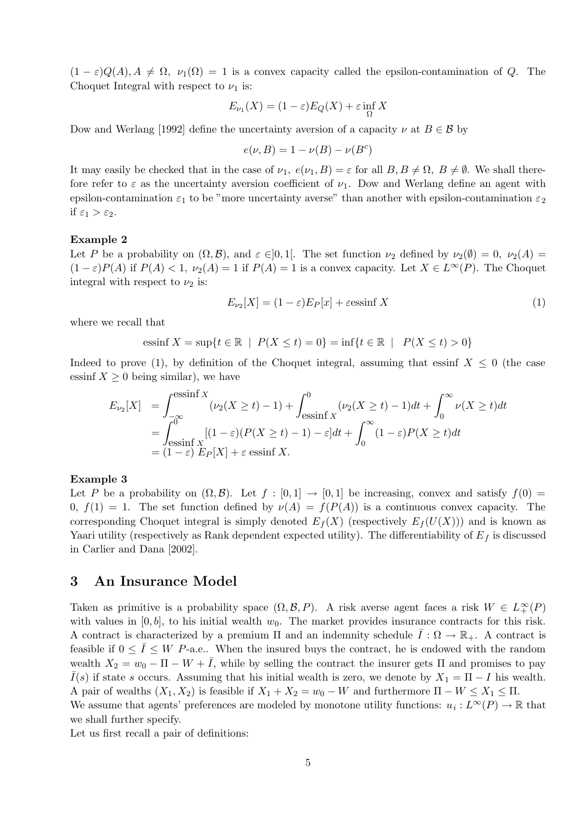$(1 - \varepsilon)Q(A), A \neq \Omega, \nu_1(\Omega) = 1$  is a convex capacity called the epsilon-contamination of Q. The Choquet Integral with respect to  $\nu_1$  is:

$$
E_{\nu_1}(X) = (1 - \varepsilon)E_Q(X) + \varepsilon \inf_{\Omega} X
$$

Dow and Werlang [1992] define the uncertainty aversion of a capacity  $\nu$  at  $B \in \mathcal{B}$  by

$$
e(\nu, B) = 1 - \nu(B) - \nu(B^c)
$$

It may easily be checked that in the case of  $\nu_1, e(\nu_1, B) = \varepsilon$  for all  $B, B \neq \Omega$ ,  $B \neq \emptyset$ . We shall therefore refer to  $\varepsilon$  as the uncertainty aversion coefficient of  $\nu_1$ . Dow and Werlang define an agent with epsilon-contamination  $\varepsilon_1$  to be "more uncertainty averse" than another with epsilon-contamination  $\varepsilon_2$ if  $\varepsilon_1 > \varepsilon_2$ .

#### Example 2

Let P be a probability on  $(\Omega, \mathcal{B})$ , and  $\varepsilon \in ]0,1[$ . The set function  $\nu_2$  defined by  $\nu_2(\emptyset) = 0$ ,  $\nu_2(A) =$  $(1 - \varepsilon)P(A)$  if  $P(A) < 1$ ,  $\nu_2(A) = 1$  if  $P(A) = 1$  is a convex capacity. Let  $X \in L^{\infty}(P)$ . The Choquet integral with respect to  $\nu_2$  is:

$$
E_{\nu_2}[X] = (1 - \varepsilon)E_P[x] + \varepsilon \operatorname{essinf} X \tag{1}
$$

where we recall that

$$
essinf X = \sup\{t \in \mathbb{R} \mid P(X \le t) = 0\} = \inf\{t \in \mathbb{R} \mid P(X \le t) > 0\}
$$

Indeed to prove (1), by definition of the Choquet integral, assuming that essinf  $X \leq 0$  (the case essinf  $X \geq 0$  being similar), we have

$$
E_{\nu_2}[X] = \int_{-\infty}^{\infty} (\nu_2(X \ge t) - 1) + \int_{\text{essinf } X}^0 (\nu_2(X \ge t) - 1) dt + \int_0^{\infty} \nu(X \ge t) dt
$$
  
= 
$$
\int_{\text{essinf } X}^0 [(1 - \varepsilon)(P(X \ge t) - 1) - \varepsilon] dt + \int_0^{\infty} (1 - \varepsilon)P(X \ge t) dt
$$
  
= 
$$
(1 - \varepsilon) E_P[X] + \varepsilon \operatorname{essinf } X.
$$

#### Example 3

Let P be a probability on  $(\Omega, \mathcal{B})$ . Let  $f : [0, 1] \to [0, 1]$  be increasing, convex and satisfy  $f(0) =$ 0,  $f(1) = 1$ . The set function defined by  $\nu(A) = f(P(A))$  is a continuous convex capacity. The corresponding Choquet integral is simply denoted  $E_f(X)$  (respectively  $E_f(U(X))$ ) and is known as Yaari utility (respectively as Rank dependent expected utility). The differentiability of  $E_f$  is discussed in Carlier and Dana [2002].

## 3 An Insurance Model

Taken as primitive is a probability space  $(\Omega, \mathcal{B}, P)$ . A risk averse agent faces a risk  $W \in L^{\infty}(P)$ with values in  $[0, b]$ , to his initial wealth  $w_0$ . The market provides insurance contracts for this risk. A contract is characterized by a premium  $\Pi$  and an indemnity schedule  $\overline{I}: \Omega \to \mathbb{R}_+$ . A contract is feasible if  $0 \leq \overline{I} \leq W$  P-a.e.. When the insured buys the contract, he is endowed with the random wealth  $X_2 = w_0 - \Pi - W + \overline{I}$ , while by selling the contract the insurer gets  $\Pi$  and promises to pay  $\overline{I}(s)$  if state s occurs. Assuming that his initial wealth is zero, we denote by  $X_1 = \Pi - I$  his wealth. A pair of wealths  $(X_1, X_2)$  is feasible if  $X_1 + X_2 = w_0 - W$  and furthermore  $\Pi - W \le X_1 \le \Pi$ . We assume that agents' preferences are modeled by monotone utility functions:  $u_i: L^{\infty}(P) \to \mathbb{R}$  that we shall further specify.

Let us first recall a pair of definitions: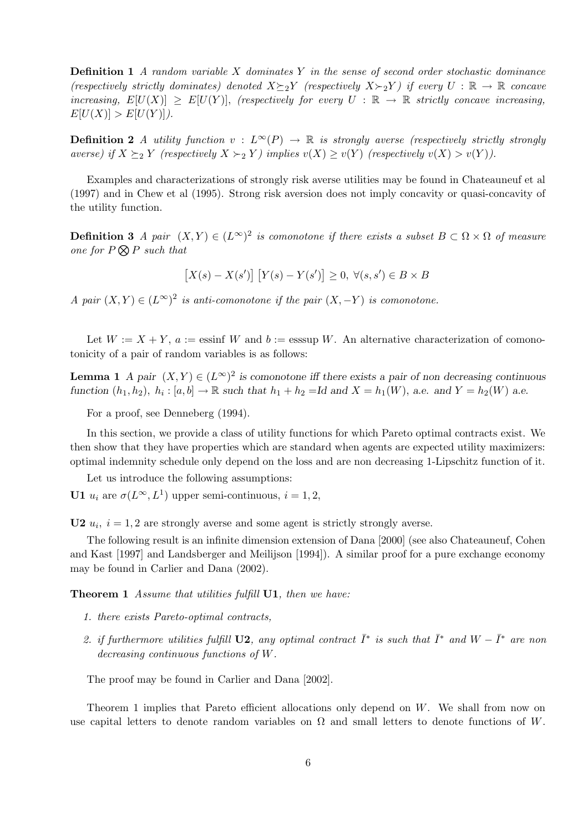**Definition 1** A random variable X dominates Y in the sense of second order stochastic dominance (respectively strictly dominates) denoted  $X \succeq_2 Y$  (respectively  $X \succ_2 Y$ ) if every  $U : \mathbb{R} \to \mathbb{R}$  concave increasing,  $E[U(X)] \geq E[U(Y)]$ , (respectively for every  $U : \mathbb{R} \to \mathbb{R}$  strictly concave increasing,  $E[U(X)] > E[U(Y)]$ .

**Definition 2** A utility function  $v : L^{\infty}(P) \to \mathbb{R}$  is strongly averse (respectively strictly strongly averse) if  $X \succeq_2 Y$  (respectively  $X \succ_2 Y$ ) implies  $v(X) \ge v(Y)$  (respectively  $v(X) > v(Y)$ ).

Examples and characterizations of strongly risk averse utilities may be found in Chateauneuf et al (1997) and in Chew et al (1995). Strong risk aversion does not imply concavity or quasi-concavity of the utility function.

**Definition 3** A pair  $(X,Y) \in (L^{\infty})^2$  is comonotone if there exists a subset  $B \subset \Omega \times \Omega$  of measure one for  $P \bigotimes P$  such that

$$
[X(s) - X(s')] [Y(s) - Y(s')] \geq 0, \ \forall (s, s') \in B \times B
$$

A pair  $(X, Y) \in (L^{\infty})^2$  is anti-comonotone if the pair  $(X, -Y)$  is comonotone.

Let  $W := X + Y$ ,  $a :=$  essinf W and  $b :=$  esssup W. An alternative characterization of comonotonicity of a pair of random variables is as follows:

**Lemma 1** A pair  $(X, Y) \in (L^{\infty})^2$  is comonotone iff there exists a pair of non decreasing continuous function  $(h_1, h_2)$ ,  $h_i : [a, b] \to \mathbb{R}$  such that  $h_1 + h_2 = Id$  and  $X = h_1(W)$ , a.e. and  $Y = h_2(W)$  a.e.

For a proof, see Denneberg (1994).

In this section, we provide a class of utility functions for which Pareto optimal contracts exist. We then show that they have properties which are standard when agents are expected utility maximizers: optimal indemnity schedule only depend on the loss and are non decreasing 1-Lipschitz function of it.

Let us introduce the following assumptions:

**U1**  $u_i$  are  $\sigma(L^{\infty}, L^1)$  upper semi-continuous,  $i = 1, 2$ ,

**U2**  $u_i$ ,  $i = 1, 2$  are strongly averse and some agent is strictly strongly averse.

The following result is an infinite dimension extension of Dana [2000] (see also Chateauneuf, Cohen and Kast [1997] and Landsberger and Meilijson [1994]). A similar proof for a pure exchange economy may be found in Carlier and Dana (2002).

Theorem 1 Assume that utilities fulfill U1, then we have:

- 1. there exists Pareto-optimal contracts,
- 2. if furthermore utilities fulfill **U2**, any optimal contract  $\bar{I}^*$  is such that  $\bar{I}^*$  and  $W \bar{I}^*$  are non decreasing continuous functions of W.

The proof may be found in Carlier and Dana [2002].

Theorem 1 implies that Pareto efficient allocations only depend on W. We shall from now on use capital letters to denote random variables on  $\Omega$  and small letters to denote functions of W.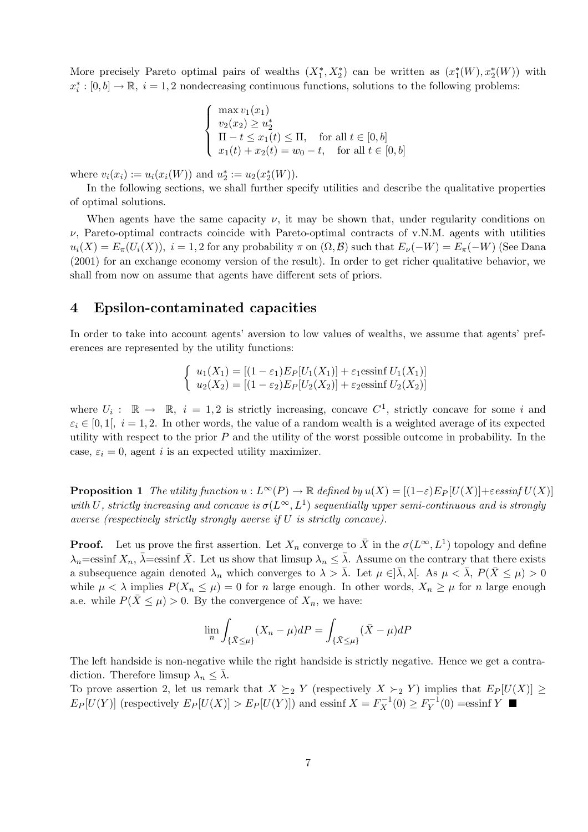More precisely Pareto optimal pairs of wealths  $(X_1^*, X_2^*)$  can be written as  $(x_1^*(W), x_2^*(W))$  with  $x_i^*: [0, b] \to \mathbb{R}, i = 1, 2$  nondecreasing continuous functions, solutions to the following problems:

$$
\begin{cases}\n\max v_1(x_1) \\
v_2(x_2) \ge u_2^* \\
\Pi - t \le x_1(t) \le \Pi, \quad \text{for all } t \in [0, b] \\
x_1(t) + x_2(t) = w_0 - t, \quad \text{for all } t \in [0, b]\n\end{cases}
$$

where  $v_i(x_i) := u_i(x_i(W))$  and  $u_2^* := u_2(x_2^*(W))$ .

In the following sections, we shall further specify utilities and describe the qualitative properties of optimal solutions.

When agents have the same capacity  $\nu$ , it may be shown that, under regularity conditions on  $\nu$ , Pareto-optimal contracts coincide with Pareto-optimal contracts of v.N.M. agents with utilities  $u_i(X) = E_\pi(U_i(X)), i = 1, 2$  for any probability  $\pi$  on  $(\Omega, \mathcal{B})$  such that  $E_\nu(-W) = E_\pi(-W)$  (See Dana (2001) for an exchange economy version of the result). In order to get richer qualitative behavior, we shall from now on assume that agents have different sets of priors.

## 4 Epsilon-contaminated capacities

In order to take into account agents' aversion to low values of wealths, we assume that agents' preferences are represented by the utility functions:

$$
\begin{cases}\n u_1(X_1) = [(1 - \varepsilon_1)E_P[U_1(X_1)] + \varepsilon_1 \text{essinf } U_1(X_1)] \\
 u_2(X_2) = [(1 - \varepsilon_2)E_P[U_2(X_2)] + \varepsilon_2 \text{essinf } U_2(X_2)]\n\end{cases}
$$

where  $U_i: \mathbb{R} \to \mathbb{R}$ ,  $i = 1, 2$  is strictly increasing, concave  $C^1$ , strictly concave for some i and  $\varepsilon_i \in [0,1], i = 1,2.$  In other words, the value of a random wealth is a weighted average of its expected utility with respect to the prior  $P$  and the utility of the worst possible outcome in probability. In the case,  $\varepsilon_i = 0$ , agent *i* is an expected utility maximizer.

**Proposition 1** The utility function  $u : L^{\infty}(P) \to \mathbb{R}$  defined by  $u(X) = [(1-\varepsilon)E_P[U(X)] + \varepsilon e^{i\omega t}E_U(X)]$ with U, strictly increasing and concave is  $\sigma(L^{\infty}, L^{1})$  sequentially upper semi-continuous and is strongly averse (respectively strictly strongly averse if U is strictly concave).

**Proof.** Let us prove the first assertion. Let  $X_n$  converge to  $\bar{X}$  in the  $\sigma(L^{\infty}, L^{1})$  topology and define  $\lambda_n = \text{essinf } X_n$ ,  $\bar{\lambda} = \text{essinf } \bar{X}$ . Let us show that limsup  $\lambda_n \leq \bar{\lambda}$ . Assume on the contrary that there exists a subsequence again denoted  $\lambda_n$  which converges to  $\lambda > \overline{\lambda}$ . Let  $\mu \in ]\overline{\lambda}, \lambda[$ . As  $\mu < \overline{\lambda}, P(\overline{X} \leq \mu) > 0$ while  $\mu < \lambda$  implies  $P(X_n \leq \mu) = 0$  for n large enough. In other words,  $X_n \geq \mu$  for n large enough a.e. while  $P(\bar{X} \leq \mu) > 0$ . By the convergence of  $X_n$ , we have:

$$
\lim_{n} \int_{\{\bar{X}\leq \mu\}} (X_n - \mu)dP = \int_{\{\bar{X}\leq \mu\}} (\bar{X} - \mu)dP
$$

The left handside is non-negative while the right handside is strictly negative. Hence we get a contradiction. Therefore limsup  $\lambda_n \leq \overline{\lambda}$ .

To prove assertion 2, let us remark that  $X \succeq_2 Y$  (respectively  $X \succ_2 Y$ ) implies that  $E_P[U(X)] \ge$  $E_P[U(Y)]$  (respectively  $E_P[U(X)] > E_P[U(Y)]$ ) and essinf  $X = F_X^{-1}(0) \ge F_Y^{-1}(0)$  =essinf Y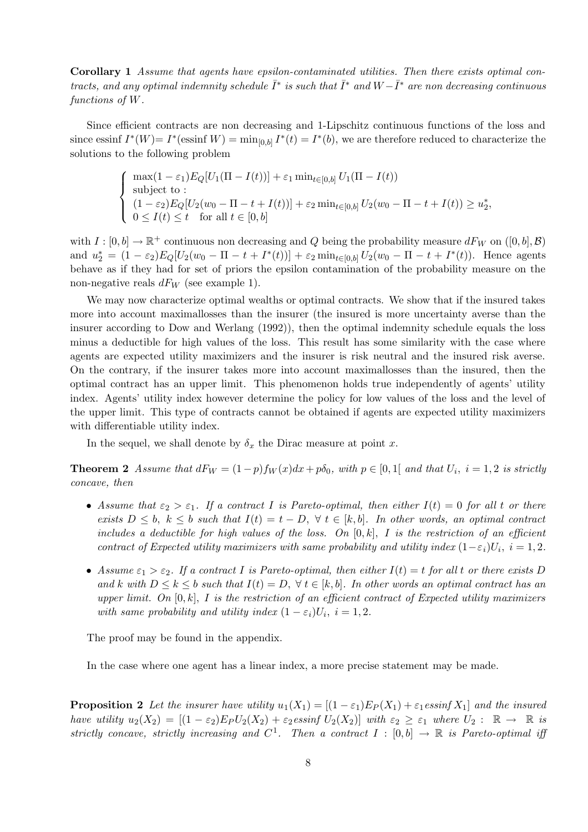Corollary 1 Assume that agents have epsilon-contaminated utilities. Then there exists optimal contracts, and any optimal indemnity schedule  $\bar{I}^*$  is such that  $\bar{I}^*$  and  $W-\bar{I}^*$  are non decreasing continuous functions of W.

Since efficient contracts are non decreasing and 1-Lipschitz continuous functions of the loss and since essinf  $I^*(W) = I^*($  essinf  $W$  =  $\min_{[0,b]} I^*(t) = I^*(b)$ , we are therefore reduced to characterize the solutions to the following problem

$$
\begin{cases}\n\max(1 - \varepsilon_1) E_Q[U_1(\Pi - I(t))] + \varepsilon_1 \min_{t \in [0,b]} U_1(\Pi - I(t)) \\
\text{subject to} \\
(1 - \varepsilon_2) E_Q[U_2(w_0 - \Pi - t + I(t))] + \varepsilon_2 \min_{t \in [0,b]} U_2(w_0 - \Pi - t + I(t)) \ge u_2^*, \\
0 \le I(t) \le t \quad \text{for all } t \in [0,b]\n\end{cases}
$$

with  $I: [0, b] \to \mathbb{R}^+$  continuous non decreasing and Q being the probability measure  $dF_W$  on  $([0, b], \mathcal{B})$ and  $u_2^* = (1 - \varepsilon_2) E_Q[U_2(w_0 - \Pi - t + I^*(t))] + \varepsilon_2 \min_{t \in [0,b]} U_2(w_0 - \Pi - t + I^*(t)).$  Hence agents behave as if they had for set of priors the epsilon contamination of the probability measure on the non-negative reals  $dF_W$  (see example 1).

We may now characterize optimal wealths or optimal contracts. We show that if the insured takes more into account maximallosses than the insurer (the insured is more uncertainty averse than the insurer according to Dow and Werlang (1992)), then the optimal indemnity schedule equals the loss minus a deductible for high values of the loss. This result has some similarity with the case where agents are expected utility maximizers and the insurer is risk neutral and the insured risk averse. On the contrary, if the insurer takes more into account maximallosses than the insured, then the optimal contract has an upper limit. This phenomenon holds true independently of agents' utility index. Agents' utility index however determine the policy for low values of the loss and the level of the upper limit. This type of contracts cannot be obtained if agents are expected utility maximizers with differentiable utility index.

In the sequel, we shall denote by  $\delta_x$  the Dirac measure at point x.

**Theorem 2** Assume that  $dF_W = (1-p)f_W(x)dx + p\delta_0$ , with  $p \in [0,1]$  and that  $U_i$ ,  $i = 1,2$  is strictly concave, then

- Assume that  $\varepsilon_2 > \varepsilon_1$ . If a contract I is Pareto-optimal, then either  $I(t) = 0$  for all t or there exists  $D \leq b$ ,  $k \leq b$  such that  $I(t) = t - D$ ,  $\forall t \in [k, b]$ . In other words, an optimal contract includes a deductible for high values of the loss. On  $[0, k]$ , I is the restriction of an efficient contract of Expected utility maximizers with same probability and utility index  $(1 - \varepsilon_i)U_i$ ,  $i = 1, 2$ .
- Assume  $\varepsilon_1 > \varepsilon_2$ . If a contract I is Pareto-optimal, then either  $I(t) = t$  for all t or there exists D and k with  $D \leq k \leq b$  such that  $I(t) = D$ ,  $\forall t \in [k, b]$ . In other words an optimal contract has an upper limit. On  $[0, k]$ , I is the restriction of an efficient contract of Expected utility maximizers with same probability and utility index  $(1 - \varepsilon_i)U_i$ ,  $i = 1, 2$ .

The proof may be found in the appendix.

In the case where one agent has a linear index, a more precise statement may be made.

**Proposition 2** Let the insurer have utility  $u_1(X_1) = [(1 - \varepsilon_1)E_P(X_1) + \varepsilon_1 \operatorname{essinf} X_1]$  and the insured have utility  $u_2(X_2) = [(1 - \varepsilon_2)E_PU_2(X_2) + \varepsilon_2 \operatorname{essinf} U_2(X_2)]$  with  $\varepsilon_2 \geq \varepsilon_1$  where  $U_2 : \mathbb{R} \to \mathbb{R}$  is strictly concave, strictly increasing and  $C^1$ . Then a contract  $I : [0,b] \to \mathbb{R}$  is Pareto-optimal iff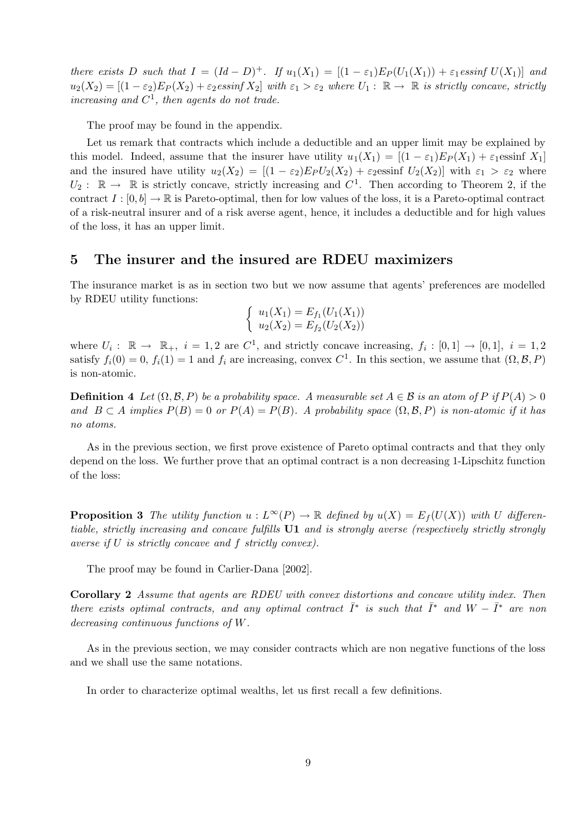there exists D such that  $I = (Id - D)^+$ . If  $u_1(X_1) = [(1 - \varepsilon_1)E_P(U_1(X_1)) + \varepsilon_1 \text{essinf } U(X_1)]$  and  $u_2(X_2) = [(1 - \varepsilon_2)E_P(X_2) + \varepsilon_2 \operatorname{essinf} X_2]$  with  $\varepsilon_1 > \varepsilon_2$  where  $U_1: \mathbb{R} \to \mathbb{R}$  is strictly concave, strictly increasing and  $C^1$ , then agents do not trade.

The proof may be found in the appendix.

Let us remark that contracts which include a deductible and an upper limit may be explained by this model. Indeed, assume that the insurer have utility  $u_1(X_1) = [(1 - \varepsilon_1)E_P(X_1) + \varepsilon_1 \text{essinf } X_1]$ and the insured have utility  $u_2(X_2) = [(1 - \varepsilon_2)E_PU_2(X_2) + \varepsilon_2 \text{essinf } U_2(X_2)]$  with  $\varepsilon_1 > \varepsilon_2$  where  $U_2: \mathbb{R} \to \mathbb{R}$  is strictly concave, strictly increasing and  $C^1$ . Then according to Theorem 2, if the contract  $I : [0, b] \to \mathbb{R}$  is Pareto-optimal, then for low values of the loss, it is a Pareto-optimal contract of a risk-neutral insurer and of a risk averse agent, hence, it includes a deductible and for high values of the loss, it has an upper limit.

#### 5 The insurer and the insured are RDEU maximizers

The insurance market is as in section two but we now assume that agents' preferences are modelled by RDEU utility functions:

$$
\begin{cases}\n u_1(X_1) = E_{f_1}(U_1(X_1)) \\
 u_2(X_2) = E_{f_2}(U_2(X_2))\n\end{cases}
$$

where  $U_i: \mathbb{R} \to \mathbb{R}_+$ ,  $i = 1, 2$  are  $C^1$ , and strictly concave increasing,  $f_i: [0,1] \to [0,1]$ ,  $i = 1, 2$ satisfy  $f_i(0) = 0$ ,  $f_i(1) = 1$  and  $f_i$  are increasing, convex  $C^1$ . In this section, we assume that  $(\Omega, \mathcal{B}, P)$ is non-atomic.

**Definition 4** Let  $(\Omega, \mathcal{B}, P)$  be a probability space. A measurable set  $A \in \mathcal{B}$  is an atom of P if  $P(A) > 0$ and  $B \subset A$  implies  $P(B) = 0$  or  $P(A) = P(B)$ . A probability space  $(\Omega, \mathcal{B}, P)$  is non-atomic if it has no atoms.

As in the previous section, we first prove existence of Pareto optimal contracts and that they only depend on the loss. We further prove that an optimal contract is a non decreasing 1-Lipschitz function of the loss:

**Proposition 3** The utility function  $u : L^{\infty}(P) \to \mathbb{R}$  defined by  $u(X) = E_f(U(X))$  with U differentiable, strictly increasing and concave fulfills U1 and is strongly averse (respectively strictly strongly averse if U is strictly concave and f strictly convex).

The proof may be found in Carlier-Dana [2002].

Corollary 2 Assume that agents are RDEU with convex distortions and concave utility index. Then there exists optimal contracts, and any optimal contract  $\overline{I}^*$  is such that  $\overline{I}^*$  and  $W - \overline{I}^*$  are non decreasing continuous functions of W.

As in the previous section, we may consider contracts which are non negative functions of the loss and we shall use the same notations.

In order to characterize optimal wealths, let us first recall a few definitions.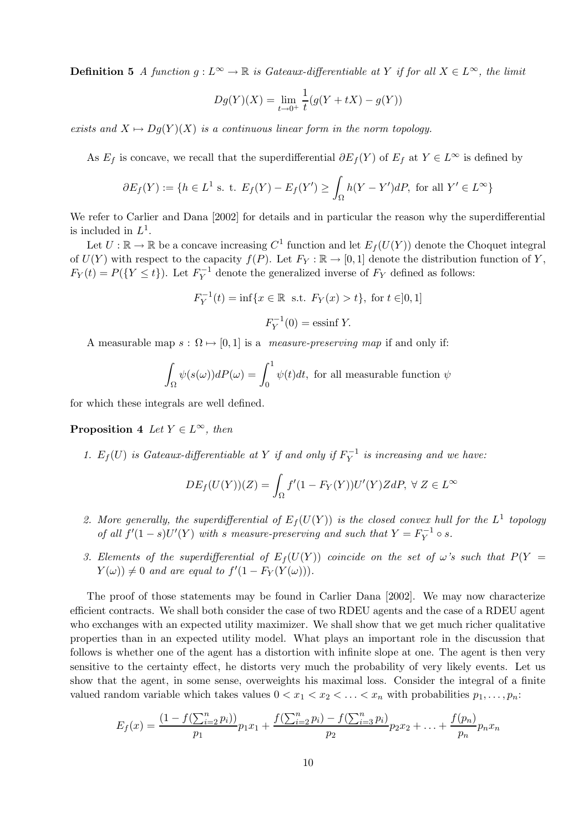**Definition 5** A function  $g: L^{\infty} \to \mathbb{R}$  is Gateaux-differentiable at Y if for all  $X \in L^{\infty}$ , the limit

$$
Dg(Y)(X) = \lim_{t \to 0^+} \frac{1}{t}(g(Y + tX) - g(Y))
$$

exists and  $X \mapsto Dg(Y)X$  is a continuous linear form in the norm topology.

As  $E_f$  is concave, we recall that the superdifferential  $\partial E_f(Y)$  of  $E_f$  at  $Y \in L^{\infty}$  is defined by

$$
\partial E_f(Y) := \{ h \in L^1 \text{ s. t. } E_f(Y) - E_f(Y') \ge \int_{\Omega} h(Y - Y')dP, \text{ for all } Y' \in L^{\infty} \}
$$

We refer to Carlier and Dana [2002] for details and in particular the reason why the superdifferential is included in  $L^1$ .

Let  $U: \mathbb{R} \to \mathbb{R}$  be a concave increasing  $C^1$  function and let  $E_f(U(Y))$  denote the Choquet integral of  $U(Y)$  with respect to the capacity  $f(P)$ . Let  $F_Y : \mathbb{R} \to [0,1]$  denote the distribution function of Y,  $F_Y(t) = P(\lbrace Y \le t \rbrace)$ . Let  $F_Y^{-1}$  denote the generalized inverse of  $F_Y$  defined as follows:

$$
F_Y^{-1}(t) = \inf\{x \in \mathbb{R} \text{ s.t. } F_Y(x) > t\}, \text{ for } t \in ]0, 1]
$$
  

$$
F_Y^{-1}(0) = \text{essinf } Y.
$$

A measurable map  $s : \Omega \mapsto [0, 1]$  is a *measure-preserving map* if and only if:

$$
\int_{\Omega} \psi(s(\omega))dP(\omega) = \int_0^1 \psi(t)dt
$$
, for all measurable function  $\psi$ 

for which these integrals are well defined.

**Proposition 4** Let  $Y \in L^{\infty}$ , then

1.  $E_f(U)$  is Gateaux-differentiable at Y if and only if  $F_Y^{-1}$  is increasing and we have:

$$
DE_f(U(Y))(Z) = \int_{\Omega} f'(1 - F_Y(Y))U'(Y)ZdP, \ \forall \ Z \in L^{\infty}
$$

- 2. More generally, the superdifferential of  $E_f(U(Y))$  is the closed convex hull for the  $L^1$  topology of all  $f'(1-s)U'(Y)$  with s measure-preserving and such that  $Y = F_Y^{-1} \circ s$ .
- 3. Elements of the superdifferential of  $E_f(U(Y))$  coincide on the set of  $\omega$ 's such that  $P(Y =$  $Y(\omega) \neq 0$  and are equal to  $f'(1 - F_Y(Y(\omega)))$ .

The proof of those statements may be found in Carlier Dana [2002]. We may now characterize efficient contracts. We shall both consider the case of two RDEU agents and the case of a RDEU agent who exchanges with an expected utility maximizer. We shall show that we get much richer qualitative properties than in an expected utility model. What plays an important role in the discussion that follows is whether one of the agent has a distortion with infinite slope at one. The agent is then very sensitive to the certainty effect, he distorts very much the probability of very likely events. Let us show that the agent, in some sense, overweights his maximal loss. Consider the integral of a finite valued random variable which takes values  $0 < x_1 < x_2 < \ldots < x_n$  with probabilities  $p_1, \ldots, p_n$ :

$$
E_f(x) = \frac{(1 - f(\sum_{i=2}^n p_i))}{p_1} p_1 x_1 + \frac{f(\sum_{i=2}^n p_i) - f(\sum_{i=3}^n p_i)}{p_2} p_2 x_2 + \dots + \frac{f(p_n)}{p_n} p_n x_n
$$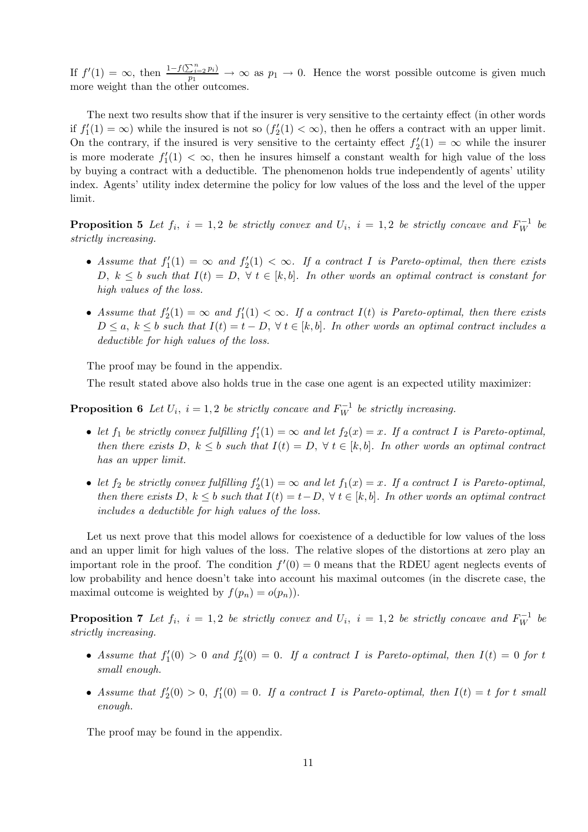If  $f'(1) = \infty$ , then  $\frac{1 - f(\sum_{i=2}^{n} p_i)}{p_1} \to \infty$  as  $p_1 \to 0$ . Hence the worst possible outcome is given much more weight than the other outcomes.

The next two results show that if the insurer is very sensitive to the certainty effect (in other words if  $f_1'(1) = \infty$ ) while the insured is not so  $(f_2'(1) < \infty)$ , then he offers a contract with an upper limit. On the contrary, if the insured is very sensitive to the certainty effect  $f_2'(1) = \infty$  while the insurer is more moderate  $f_1'(1) < \infty$ , then he insures himself a constant wealth for high value of the loss by buying a contract with a deductible. The phenomenon holds true independently of agents' utility index. Agents' utility index determine the policy for low values of the loss and the level of the upper limit.

**Proposition 5** Let  $f_i$ ,  $i = 1, 2$  be strictly convex and  $U_i$ ,  $i = 1, 2$  be strictly concave and  $F_W^{-1}$  be strictly increasing.

- Assume that  $f_1'(1) = \infty$  and  $f_2'(1) < \infty$ . If a contract I is Pareto-optimal, then there exists D,  $k \leq b$  such that  $I(t) = D$ ,  $\forall t \in [k, b]$ . In other words an optimal contract is constant for high values of the loss.
- Assume that  $f_2'(1) = \infty$  and  $f_1'(1) < \infty$ . If a contract  $I(t)$  is Pareto-optimal, then there exists  $D \le a, k \le b$  such that  $I(t) = t - D$ ,  $\forall t \in [k, b]$ . In other words an optimal contract includes a deductible for high values of the loss.

The proof may be found in the appendix.

The result stated above also holds true in the case one agent is an expected utility maximizer:

**Proposition 6** Let  $U_i$ ,  $i = 1, 2$  be strictly concave and  $F_W^{-1}$  be strictly increasing.

- let  $f_1$  be strictly convex fulfilling  $f'_1(1) = \infty$  and let  $f_2(x) = x$ . If a contract I is Pareto-optimal, then there exists D,  $k \leq b$  such that  $I(t) = D$ ,  $\forall t \in [k, b]$ . In other words an optimal contract has an upper limit.
- let  $f_2$  be strictly convex fulfilling  $f'_2(1) = \infty$  and let  $f_1(x) = x$ . If a contract I is Pareto-optimal, then there exists D,  $k \leq b$  such that  $I(t) = t - D$ ,  $\forall t \in [k, b]$ . In other words an optimal contract includes a deductible for high values of the loss.

Let us next prove that this model allows for coexistence of a deductible for low values of the loss and an upper limit for high values of the loss. The relative slopes of the distortions at zero play an important role in the proof. The condition  $f'(0) = 0$  means that the RDEU agent neglects events of low probability and hence doesn't take into account his maximal outcomes (in the discrete case, the maximal outcome is weighted by  $f(p_n) = o(p_n)$ .

**Proposition 7** Let  $f_i$ ,  $i = 1, 2$  be strictly convex and  $U_i$ ,  $i = 1, 2$  be strictly concave and  $F_W^{-1}$  be strictly increasing.

- Assume that  $f_1'(0) > 0$  and  $f_2'(0) = 0$ . If a contract I is Pareto-optimal, then  $I(t) = 0$  for t small enough.
- Assume that  $f_2'(0) > 0$ ,  $f_1'(0) = 0$ . If a contract I is Pareto-optimal, then  $I(t) = t$  for t small enough.

The proof may be found in the appendix.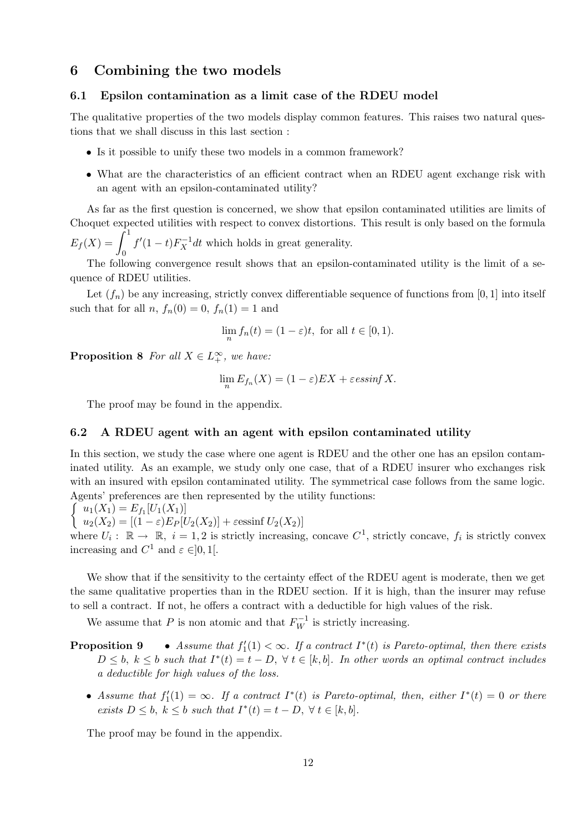## 6 Combining the two models

#### 6.1 Epsilon contamination as a limit case of the RDEU model

The qualitative properties of the two models display common features. This raises two natural questions that we shall discuss in this last section :

- Is it possible to unify these two models in a common framework?
- What are the characteristics of an efficient contract when an RDEU agent exchange risk with an agent with an epsilon-contaminated utility?

As far as the first question is concerned, we show that epsilon contaminated utilities are limits of Choquet expected utilities with respect to convex distortions. This result is only based on the formula  $E_f(X) =$  $\int_1^1$ 0  $f'(1-t)F_X^{-1}dt$  which holds in great generality.

The following convergence result shows that an epsilon-contaminated utility is the limit of a sequence of RDEU utilities.

Let  $(f_n)$  be any increasing, strictly convex differentiable sequence of functions from [0, 1] into itself such that for all  $n, f_n(0) = 0, f_n(1) = 1$  and

$$
\lim_{n} f_n(t) = (1 - \varepsilon)t, \text{ for all } t \in [0, 1).
$$

**Proposition 8** For all  $X \in L_+^{\infty}$ , we have:

$$
\lim_{n} E_{f_n}(X) = (1 - \varepsilon) EX + \varepsilon \operatorname{essinf} X.
$$

The proof may be found in the appendix.

#### 6.2 A RDEU agent with an agent with epsilon contaminated utility

In this section, we study the case where one agent is RDEU and the other one has an epsilon contaminated utility. As an example, we study only one case, that of a RDEU insurer who exchanges risk with an insured with epsilon contaminated utility. The symmetrical case follows from the same logic. Agen ts' preferences are then represented by the utility functions:

$$
\int u_1(X_1) = E_{f_1}[U_1(X_1)]
$$

 $u_2(X_2) = [(1 - \varepsilon)E_P[U_2(X_2)] + \varepsilon \cdot \sin f U_2(X_2)]$ 

where  $U_i: \mathbb{R} \to \mathbb{R}, i = 1, 2$  is strictly increasing, concave  $C^1$ , strictly concave,  $f_i$  is strictly convex increasing and  $C^1$  and  $\varepsilon \in ]0,1[$ .

We show that if the sensitivity to the certainty effect of the RDEU agent is moderate, then we get the same qualitative properties than in the RDEU section. If it is high, than the insurer may refuse to sell a contract. If not, he offers a contract with a deductible for high values of the risk.

We assume that P is non atomic and that  $F_W^{-1}$  is strictly increasing.

- **Proposition 9** Assume that  $f_1'(1) < \infty$ . If a contract  $I^*(t)$  is Pareto-optimal, then there exists  $D \leq b, k \leq b$  such that  $I^*(t) = t - D, \forall t \in [k, b].$  In other words an optimal contract includes a deductible for high values of the loss.
	- Assume that  $f_1'(1) = \infty$ . If a contract  $I^*(t)$  is Pareto-optimal, then, either  $I^*(t) = 0$  or there exists  $D \leq b, k \leq b$  such that  $I^*(t) = t - D, \forall t \in [k, b].$

The proof may be found in the appendix.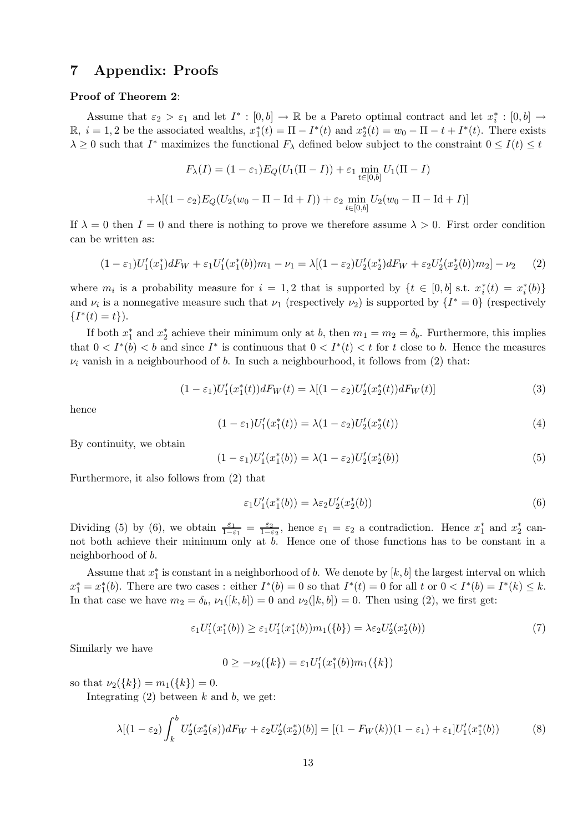## 7 Appendix: Proofs

#### Proof of Theorem 2:

Assume that  $\varepsilon_2 > \varepsilon_1$  and let  $I^* : [0, b] \to \mathbb{R}$  be a Pareto optimal contract and let  $x_i^* : [0, b] \to$ R,  $i = 1, 2$  be the associated wealths,  $x_1^*(t) = \Pi - I^*(t)$  and  $x_2^*(t) = w_0 - \Pi - t + I^*(t)$ . There exists  $\lambda \geq 0$  such that  $I^*$  maximizes the functional  $F_\lambda$  defined below subject to the constraint  $0 \leq I(t) \leq t$ 

$$
F_{\lambda}(I) = (1 - \varepsilon_1) E_Q(U_1(\Pi - I)) + \varepsilon_1 \min_{t \in [0,b]} U_1(\Pi - I)
$$

$$
+ \lambda [(1 - \varepsilon_2) E_Q(U_2(w_0 - \Pi - \text{Id} + I)) + \varepsilon_2 \min_{t \in [0,b]} U_2(w_0 - \Pi - \text{Id} + I)]
$$

If  $\lambda = 0$  then  $I = 0$  and there is nothing to prove we therefore assume  $\lambda > 0$ . First order condition can be written as:

$$
(1 - \varepsilon_1)U_1'(x_1^*)dF_W + \varepsilon_1 U_1'(x_1^*(b))m_1 - \nu_1 = \lambda[(1 - \varepsilon_2)U_2'(x_2^*)dF_W + \varepsilon_2 U_2'(x_2^*(b))m_2] - \nu_2 \tag{2}
$$

where  $m_i$  is a probability measure for  $i = 1, 2$  that is supported by  $\{t \in [0, b] \text{ s.t. } x_i^*(t) = x_i^*(b)\}\$ and  $\nu_i$  is a nonnegative measure such that  $\nu_1$  (respectively  $\nu_2$ ) is supported by  $\{I^* = 0\}$  (respectively  $\{I^*(t) = t\}.$ 

If both  $x_1^*$  and  $x_2^*$  achieve their minimum only at b, then  $m_1 = m_2 = \delta_b$ . Furthermore, this implies that  $0 < I^*(b) < b$  and since  $I^*$  is continuous that  $0 < I^*(t) < t$  for t close to b. Hence the measures  $\nu_i$  vanish in a neighbourhood of b. In such a neighbourhood, it follows from (2) that:

$$
(1 - \varepsilon_1)U_1'(x_1^*(t))dF_W(t) = \lambda[(1 - \varepsilon_2)U_2'(x_2^*(t))dF_W(t)]
$$
\n(3)

hence

$$
(1 - \varepsilon_1)U_1'(x_1^*(t)) = \lambda(1 - \varepsilon_2)U_2'(x_2^*(t))
$$
\n(4)

By continuity, we obtain

$$
(1 - \varepsilon_1)U_1'(x_1^*(b)) = \lambda(1 - \varepsilon_2)U_2'(x_2^*(b))
$$
\n(5)

Furthermore, it also follows from (2) that

$$
\varepsilon_1 U_1'(x_1^*(b)) = \lambda \varepsilon_2 U_2'(x_2^*(b))\tag{6}
$$

Dividing (5) by (6), we obtain  $\frac{\varepsilon_1}{1-\varepsilon_1} = \frac{\varepsilon_2}{1-\varepsilon_1}$  $\frac{\varepsilon_2}{1-\varepsilon_2}$ , hence  $\varepsilon_1 = \varepsilon_2$  a contradiction. Hence  $x_1^*$  and  $x_2^*$  cannot both achieve their minimum only at b. Hence one of those functions has to be constant in a neighborhood of b.

Assume that  $x_1^*$  is constant in a neighborhood of b. We denote by  $[k, b]$  the largest interval on which  $x_1^* = x_1^*(b)$ . There are two cases : either  $I^*(b) = 0$  so that  $I^*(t) = 0$  for all t or  $0 < I^*(b) = I^*(k) \leq k$ . In that case we have  $m_2 = \delta_b$ ,  $\nu_1([k, b]) = 0$  and  $\nu_2([k, b]) = 0$ . Then using (2), we first get:

$$
\varepsilon_1 U_1'(x_1^*(b)) \ge \varepsilon_1 U_1'(x_1^*(b)) m_1(\{b\}) = \lambda \varepsilon_2 U_2'(x_2^*(b))
$$
\n<sup>(7)</sup>

Similarly we have

$$
0 \geq -\nu_2({k}) = \varepsilon_1 U_1'(x_1^*(b)) m_1({k})
$$

so that  $\nu_2({k}) = m_1({k}) = 0$ .

Integrating  $(2)$  between k and b, we get:

$$
\lambda[(1-\varepsilon_2)\int_k^b U_2'(x_2^*(s))dF_W + \varepsilon_2 U_2'(x_2^*)(b)] = [(1-F_W(k))(1-\varepsilon_1) + \varepsilon_1]U_1'(x_1^*(b))
$$
\n(8)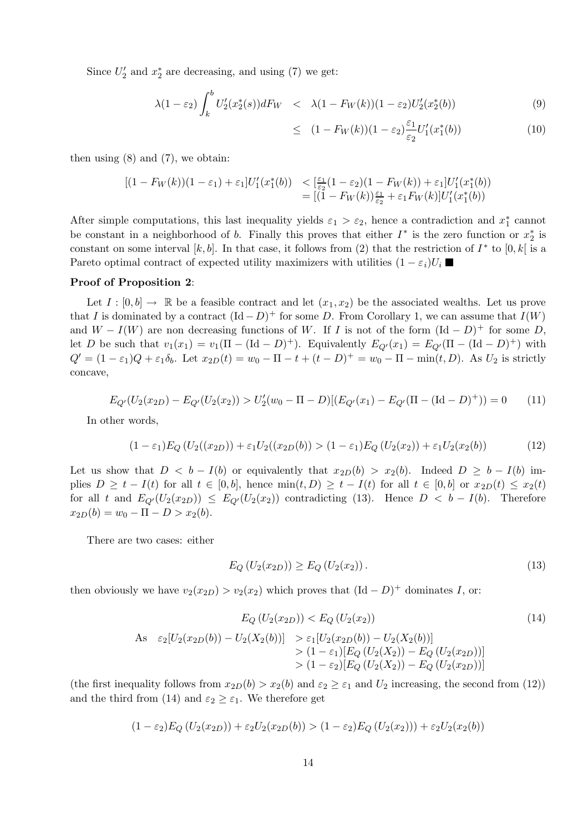Since  $U_2'$  and  $x_2^*$  are decreasing, and using (7) we get:

$$
\lambda(1 - \varepsilon_2) \int_k^b U_2'(x_2^*(s)) dF_W \quad < \quad \lambda(1 - F_W(k))(1 - \varepsilon_2) U_2'(x_2^*(b)) \tag{9}
$$

$$
\leq (1 - F_W(k))(1 - \varepsilon_2) \frac{\varepsilon_1}{\varepsilon_2} U_1'(x_1^*(b)) \tag{10}
$$

then using  $(8)$  and  $(7)$ , we obtain:

$$
[(1 - F_W(k))(1 - \varepsilon_1) + \varepsilon_1]U'_1(x_1^*(b)) \leq [\frac{\varepsilon_1}{\varepsilon_2}(1 - \varepsilon_2)(1 - F_W(k)) + \varepsilon_1]U'_1(x_1^*(b))
$$
  
= [(1 - F\_W(k))\frac{\varepsilon\_1}{\varepsilon\_2} + \varepsilon\_1 F\_W(k)]U'\_1(x\_1^\*(b))

After simple computations, this last inequality yields  $\varepsilon_1 > \varepsilon_2$ , hence a contradiction and  $x_1^*$  cannot be constant in a neighborhood of b. Finally this proves that either  $I^*$  is the zero function or  $x_2^*$  is constant on some interval [k, b]. In that case, it follows from (2) that the restriction of  $I^*$  to [0, k] is a Pareto optimal contract of expected utility maximizers with utilities  $(1 - \varepsilon_i)U_i$ 

#### Proof of Proposition 2:

Let  $I : [0, b] \to \mathbb{R}$  be a feasible contract and let  $(x_1, x_2)$  be the associated wealths. Let us prove that I is dominated by a contract  $(\text{Id} - D)^+$  for some D. From Corollary 1, we can assume that  $I(W)$ and  $W - I(W)$  are non decreasing functions of W. If I is not of the form  $(\text{Id} - D)^+$  for some D, let D be such that  $v_1(x_1) = v_1(\Pi - (\text{Id} - D)^+)$ . Equivalently  $E_{Q'}(x_1) = E_{Q'}(\Pi - (\text{Id} - D)^+)$  with  $Q' = (1 - \varepsilon_1)Q + \varepsilon_1 \delta_b$ . Let  $x_{2D}(t) = w_0 - \Pi - t + (t - D)^+ = w_0 - \Pi - \min(t, D)$ . As  $U_2$  is strictly concave,

$$
E_{Q'}(U_2(x_{2D}) - E_{Q'}(U_2(x_{2})) > U'_2(w_0 - \Pi - D)[(E_{Q'}(x_1) - E_{Q'}(\Pi - (\text{Id} - D)^{+})) = 0 \tag{11}
$$

In other words,

$$
(1 - \varepsilon_1) E_Q (U_2((x_{2D})) + \varepsilon_1 U_2((x_{2D}(b)) > (1 - \varepsilon_1) E_Q (U_2(x_{2})) + \varepsilon_1 U_2(x_{2}(b))
$$
(12)

Let us show that  $D < b - I(b)$  or equivalently that  $x_{2D}(b) > x_2(b)$ . Indeed  $D \ge b - I(b)$  implies  $D \geq t - I(t)$  for all  $t \in [0, b]$ , hence  $\min(t, D) \geq t - I(t)$  for all  $t \in [0, b]$  or  $x_{2D}(t) \leq x_2(t)$ for all t and  $E_{Q}(U_2(x_{2D})) \leq E_{Q}(U_2(x_2))$  contradicting (13). Hence  $D < b - I(b)$ . Therefore  $x_{2D}(b) = w_0 - \Pi - D > x_2(b).$ 

There are two cases: either

$$
E_Q(U_2(x_{2D})) \ge E_Q(U_2(x_2)).
$$
\n(13)

then obviously we have  $v_2(x_{2D}) > v_2(x_2)$  which proves that  $(\text{Id} - D)^+$  dominates I, or:

$$
E_Q(U_2(x_{2D})) < E_Q(U_2(x_2))
$$
\n
$$
\text{As } \varepsilon_2[U_2(x_{2D}(b)) - U_2(X_2(b))] > \varepsilon_1[U_2(x_{2D}(b)) - U_2(X_2(b))]
$$
\n
$$
(14)
$$

$$
= \frac{\varepsilon_2[\sigma_2(x_2D(0)) - \sigma_2(x_2O(0))] - \varepsilon_1[\sigma_2(x_2D(0)) - \sigma_2(x_2O(0))] - \varepsilon_2[\sigma_2(Z_2D(0)) - \varepsilon_2(\sigma_2(Z_2D))] - \varepsilon_2[\sigma_2(Z_2D(0)) - \varepsilon_2(\sigma_2(Z_2D))] - \varepsilon_2[\sigma_2(Z_2D(0)) - \varepsilon_2(\sigma_2(Z_2D))] - \varepsilon_2[\sigma_2(Z_2D(0)) - \varepsilon_2(\sigma_2(Z_2D))]
$$

(the first inequality follows from  $x_{2D}(b) > x_2(b)$  and  $\varepsilon_2 \geq \varepsilon_1$  and  $U_2$  increasing, the second from (12)) and the third from (14) and  $\varepsilon_2 \geq \varepsilon_1$ . We therefore get

$$
(1 - \varepsilon_2)E_Q(U_2(x_{2D})) + \varepsilon_2 U_2(x_{2D}(b)) > (1 - \varepsilon_2)E_Q(U_2(x_{2}))) + \varepsilon_2 U_2(x_2(b))
$$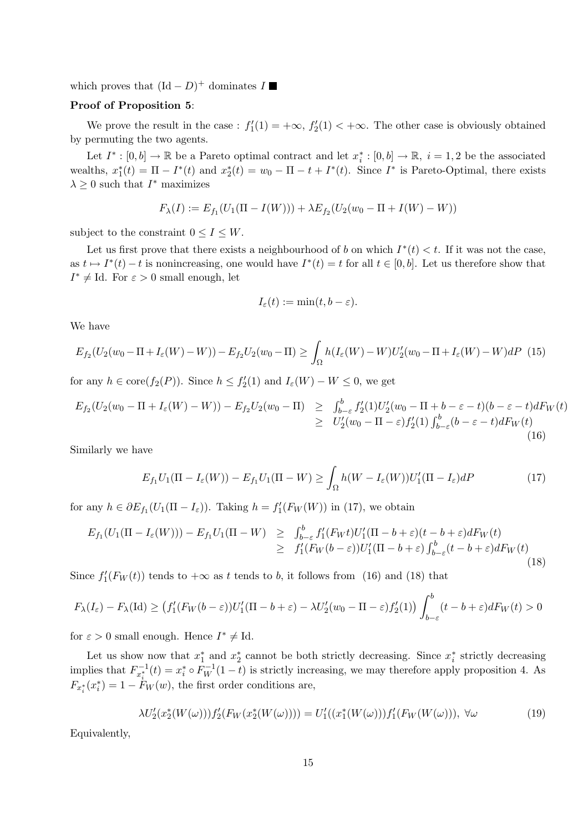which proves that  $(\text{Id} - D)^+$  dominates I

#### Proof of Proposition 5:

We prove the result in the case :  $f'_1(1) = +\infty$ ,  $f'_2(1) < +\infty$ . The other case is obviously obtained by permuting the two agents.

Let  $I^* : [0, b] \to \mathbb{R}$  be a Pareto optimal contract and let  $x_i^* : [0, b] \to \mathbb{R}$ ,  $i = 1, 2$  be the associated wealths,  $x_1^*(t) = \Pi - I^*(t)$  and  $x_2^*(t) = w_0 - \Pi - t + I^*(t)$ . Since  $I^*$  is Pareto-Optimal, there exists  $\lambda \geq 0$  such that  $I^*$  maximizes

$$
F_{\lambda}(I) := E_{f_1}(U_1(\Pi - I(W))) + \lambda E_{f_2}(U_2(w_0 - \Pi + I(W) - W))
$$

subject to the constraint  $0 \leq I \leq W$ .

Let us first prove that there exists a neighbourhood of b on which  $I^*(t) < t$ . If it was not the case, as  $t \mapsto I^*(t) - t$  is nonincreasing, one would have  $I^*(t) = t$  for all  $t \in [0, b]$ . Let us therefore show that  $I^* \neq \text{Id}$ . For  $\varepsilon > 0$  small enough, let

$$
I_{\varepsilon}(t) := \min(t, b - \varepsilon).
$$

We have

$$
E_{f_2}(U_2(w_0 - \Pi + I_\varepsilon(W) - W)) - E_{f_2}U_2(w_0 - \Pi) \ge \int_{\Omega} h(I_\varepsilon(W) - W)U_2'(w_0 - \Pi + I_\varepsilon(W) - W)dP
$$
 (15)

for any  $h \in \text{core}(f_2(P))$ . Since  $h \le f_2'(1)$  and  $I_{\varepsilon}(W) - W \le 0$ , we get

$$
E_{f_2}(U_2(w_0 - \Pi + I_{\varepsilon}(W) - W)) - E_{f_2}U_2(w_0 - \Pi) \geq \int_{b-\varepsilon}^b f_2'(1)U_2'(w_0 - \Pi + b - \varepsilon - t)(b - \varepsilon - t)dF_W(t)
$$
  
\n
$$
\geq U_2'(w_0 - \Pi - \varepsilon)f_2'(1)\int_{b-\varepsilon}^b (b - \varepsilon - t)dF_W(t)
$$
\n(16)

Similarly we have

$$
E_{f_1}U_1(\Pi - I_{\varepsilon}(W)) - E_{f_1}U_1(\Pi - W) \ge \int_{\Omega} h(W - I_{\varepsilon}(W))U_1'(\Pi - I_{\varepsilon})dP \tag{17}
$$

for any  $h \in \partial E_{f_1}(U_1(\Pi - I_\varepsilon))$ . Taking  $h = f'_1(F_W(W))$  in (17), we obtain

$$
E_{f_1}(U_1(\Pi - I_{\varepsilon}(W))) - E_{f_1}U_1(\Pi - W) \geq \int_{b-\varepsilon}^b f'_1(F_Wt)U'_1(\Pi - b + \varepsilon)(t - b + \varepsilon)dF_W(t)
$$
  
\n
$$
\geq f'_1(F_W(b - \varepsilon))U'_1(\Pi - b + \varepsilon)\int_{b-\varepsilon}^b (t - b + \varepsilon)dF_W(t)
$$
\n(18)

Since  $f'_{1}(F_{W}(t))$  tends to  $+\infty$  as t tends to b, it follows from (16) and (18) that

$$
F_{\lambda}(I_{\varepsilon}) - F_{\lambda}(\mathrm{Id}) \ge \left(f_1'(F_W(b-\varepsilon))U_1'(\Pi-b+\varepsilon) - \lambda U_2'(w_0-\Pi-\varepsilon)f_2'(1)\right)\int_{b-\varepsilon}^b (t-b+\varepsilon)dF_W(t) > 0
$$

for  $\varepsilon > 0$  small enough. Hence  $I^* \neq \text{Id}$ .

Let us show now that  $x_1^*$  and  $x_2^*$  cannot be both strictly decreasing. Since  $x_i^*$  strictly decreasing implies that  $F_{x_i^*}^{-1}(t) = x_i^* \circ F_W^{-1}(1-t)$  is strictly increasing, we may therefore apply proposition 4. As  $F_{x_i^*}(x_i^*) = 1 - \dot{F}_W(w)$ , the first order conditions are,

$$
\lambda U_2'(x_2^*(W(\omega)))f_2'(F_W(x_2^*(W(\omega)))) = U_1'((x_1^*(W(\omega)))f_1'(F_W(W(\omega))), \forall \omega
$$
\n(19)

Equivalently,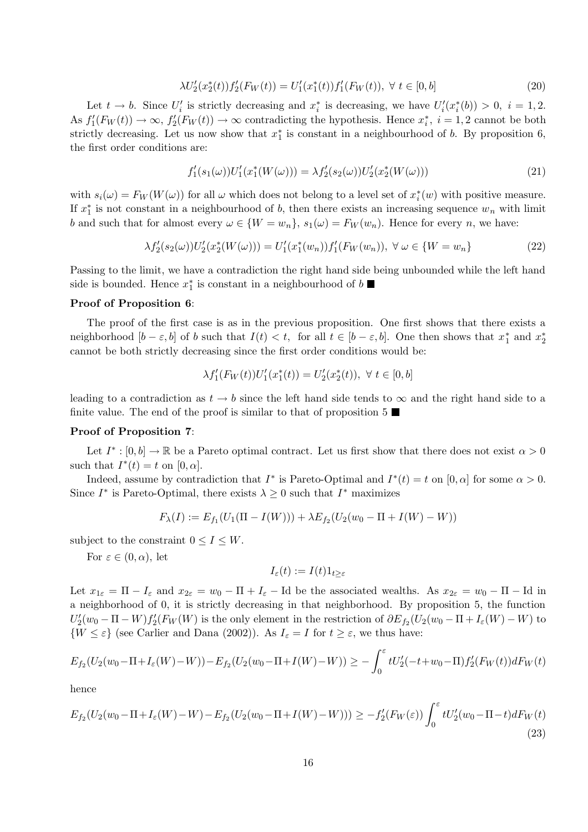$$
\lambda U_2'(x_2^*(t))f_2'(F_W(t)) = U_1'(x_1^*(t))f_1'(F_W(t)), \ \forall \ t \in [0, b]
$$
\n
$$
(20)
$$

Let  $t \to b$ . Since  $U_i'$  is strictly decreasing and  $x_i^*$  is decreasing, we have  $U_i'(x_i^*(b)) > 0$ ,  $i = 1, 2$ . As  $f'_1(F_W(t)) \to \infty$ ,  $f'_2(F_W(t)) \to \infty$  contradicting the hypothesis. Hence  $x_i^*$ ,  $i = 1, 2$  cannot be both strictly decreasing. Let us now show that  $x_1^*$  is constant in a neighbourhood of b. By proposition 6, the first order conditions are:

$$
f_1'(s_1(\omega))U_1'(x_1^*(W(\omega))) = \lambda f_2'(s_2(\omega))U_2'(x_2^*(W(\omega)))
$$
\n(21)

with  $s_i(\omega) = F_W(W(\omega))$  for all  $\omega$  which does not belong to a level set of  $x_i^*(w)$  with positive measure. If  $x_1^*$  is not constant in a neighbourhood of b, then there exists an increasing sequence  $w_n$  with limit b and such that for almost every  $\omega \in \{W = w_n\}$ ,  $s_1(\omega) = F_W(w_n)$ . Hence for every n, we have:

$$
\lambda f_2'(s_2(\omega))U_2'(x_2^*(W(\omega))) = U_1'(x_1^*(w_n))f_1'(F_W(w_n)), \ \forall \ \omega \in \{W = w_n\}
$$
\n<sup>(22)</sup>

Passing to the limit, we have a contradiction the right hand side being unbounded while the left hand side is bounded. Hence  $x_1^*$  is constant in a neighbourhood of b

#### Proof of Proposition 6:

The proof of the first case is as in the previous proposition. One first shows that there exists a neighborhood  $[b - \varepsilon, b]$  of b such that  $I(t) < t$ , for all  $t \in [b - \varepsilon, b]$ . One then shows that  $x_1^*$  and  $x_2^*$ cannot be both strictly decreasing since the first order conditions would be:

$$
\lambda f_1'(F_W(t))U_1'(x_1^*(t)) = U_2'(x_2^*(t)), \ \forall \ t \in [0,b]
$$

leading to a contradiction as  $t \to b$  since the left hand side tends to  $\infty$  and the right hand side to a finite value. The end of the proof is similar to that of proposition  $5 \blacksquare$ 

#### Proof of Proposition 7:

Let  $I^* : [0, b] \to \mathbb{R}$  be a Pareto optimal contract. Let us first show that there does not exist  $\alpha > 0$ such that  $I^*(t) = t$  on  $[0, \alpha]$ .

Indeed, assume by contradiction that  $I^*$  is Pareto-Optimal and  $I^*(t) = t$  on  $[0, \alpha]$  for some  $\alpha > 0$ . Since  $I^*$  is Pareto-Optimal, there exists  $\lambda \geq 0$  such that  $I^*$  maximizes

$$
F_{\lambda}(I) := E_{f_1}(U_1(\Pi - I(W))) + \lambda E_{f_2}(U_2(w_0 - \Pi + I(W) - W))
$$

subject to the constraint  $0 \le I \le W$ .

For  $\varepsilon \in (0, \alpha)$ , let

$$
I_\varepsilon(t):=I(t)1_{t\geq\varepsilon}
$$

Let  $x_{1\varepsilon} = \Pi - I_{\varepsilon}$  and  $x_{2\varepsilon} = w_0 - \Pi + I_{\varepsilon}$  – Id be the associated wealths. As  $x_{2\varepsilon} = w_0 - \Pi - \text{Id}$  in a neighborhood of 0, it is strictly decreasing in that neighborhood. By proposition 5, the function  $U_2'(w_0 - \Pi - W) f_2'(F_W(W))$  is the only element in the restriction of  $\partial E_{f_2}(U_2(w_0 - \Pi + I_{\varepsilon}(W) - W))$  to  $\{W \leq \varepsilon\}$  (see Carlier and Dana (2002)). As  $I_{\varepsilon} = I$  for  $t \geq \varepsilon$ , we thus have:

$$
E_{f_2}(U_2(w_0 - \Pi + I_{\varepsilon}(W) - W)) - E_{f_2}(U_2(w_0 - \Pi + I(W) - W)) \ge -\int_0^{\varepsilon} tU_2'(-t + w_0 - \Pi)f_2'(F_W(t))dF_W(t)
$$

hence

$$
E_{f_2}(U_2(w_0 - \Pi + I_\varepsilon(W) - W) - E_{f_2}(U_2(w_0 - \Pi + I(W) - W))) \ge -f_2'(F_W(\varepsilon)) \int_0^\varepsilon tU_2'(w_0 - \Pi - t) dF_W(t)
$$
\n(23)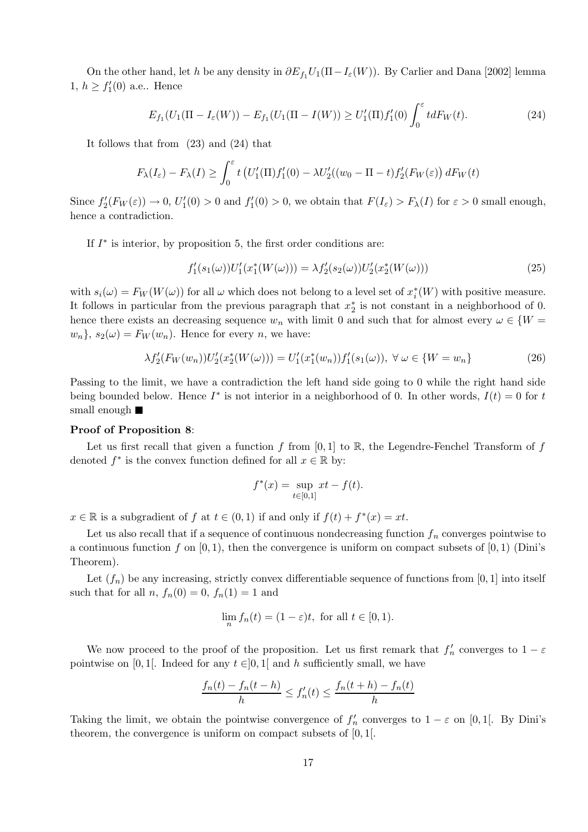On the other hand, let h be any density in  $\partial E_{f_1}U_1(\Pi - I_{\varepsilon}(W))$ . By Carlier and Dana [2002] lemma 1,  $h \geq f'_1(0)$  a.e.. Hence

$$
E_{f_1}(U_1(\Pi - I_{\varepsilon}(W)) - E_{f_1}(U_1(\Pi - I(W))) \ge U_1'(\Pi) f_1'(0) \int_0^{\varepsilon} t dF_W(t).
$$
\n(24)

It follows that from (23) and (24) that

$$
F_{\lambda}(I_{\varepsilon}) - F_{\lambda}(I) \ge \int_0^{\varepsilon} t \left( U_1'(T) f_1'(0) - \lambda U_2'((w_0 - \Pi - t) f_2'(F_W(\varepsilon)) dF_W(t) \right)
$$

Since  $f_2'(F_W(\varepsilon)) \to 0$ ,  $U_1'(0) > 0$  and  $f_1'(0) > 0$ , we obtain that  $F(I_\varepsilon) > F_\lambda(I)$  for  $\varepsilon > 0$  small enough, hence a contradiction.

If  $I^*$  is interior, by proposition 5, the first order conditions are:

$$
f_1'(s_1(\omega))U_1'(x_1^*(W(\omega))) = \lambda f_2'(s_2(\omega))U_2'(x_2^*(W(\omega)))
$$
\n(25)

with  $s_i(\omega) = F_W(W(\omega))$  for all  $\omega$  which does not belong to a level set of  $x_i^*(W)$  with positive measure. It follows in particular from the previous paragraph that  $x_2^*$  is not constant in a neighborhood of 0. hence there exists an decreasing sequence  $w_n$  with limit 0 and such that for almost every  $\omega \in \{W = \mathbb{R}\}$  $w_n$ ,  $s_2(\omega) = F_W(w_n)$ . Hence for every n, we have:

$$
\lambda f_2'(F_W(w_n))U_2'(x_2^*(W(\omega))) = U_1'(x_1^*(w_n))f_1'(s_1(\omega)), \ \forall \ \omega \in \{W = w_n\}
$$
\n(26)

Passing to the limit, we have a contradiction the left hand side going to 0 while the right hand side being bounded below. Hence  $I^*$  is not interior in a neighborhood of 0. In other words,  $I(t) = 0$  for t small enough  $\blacksquare$ 

#### Proof of Proposition 8:

Let us first recall that given a function f from  $[0,1]$  to R, the Legendre-Fenchel Transform of f denoted  $f^*$  is the convex function defined for all  $x \in \mathbb{R}$  by:

$$
f^*(x) = \sup_{t \in [0,1]} xt - f(t).
$$

 $x \in \mathbb{R}$  is a subgradient of f at  $t \in (0,1)$  if and only if  $f(t) + f^*(x) = xt$ .

Let us also recall that if a sequence of continuous nondecreasing function  $f_n$  converges pointwise to a continuous function f on  $[0, 1)$ , then the convergence is uniform on compact subsets of  $[0, 1)$  (Dini's Theorem).

Let  $(f_n)$  be any increasing, strictly convex differentiable sequence of functions from [0, 1] into itself such that for all  $n, f_n(0) = 0, f_n(1) = 1$  and

$$
\lim_{n} f_n(t) = (1 - \varepsilon)t, \text{ for all } t \in [0, 1).
$$

We now proceed to the proof of the proposition. Let us first remark that  $f'_n$  converges to  $1 - \varepsilon$ pointwise on [0, 1]. Indeed for any  $t \in ]0,1[$  and h sufficiently small, we have

$$
\frac{f_n(t) - f_n(t - h)}{h} \le f'_n(t) \le \frac{f_n(t + h) - f_n(t)}{h}
$$

Taking the limit, we obtain the pointwise convergence of  $f'_n$  converges to  $1 - \varepsilon$  on [0, 1[. By Dini's theorem, the convergence is uniform on compact subsets of  $[0, 1]$ .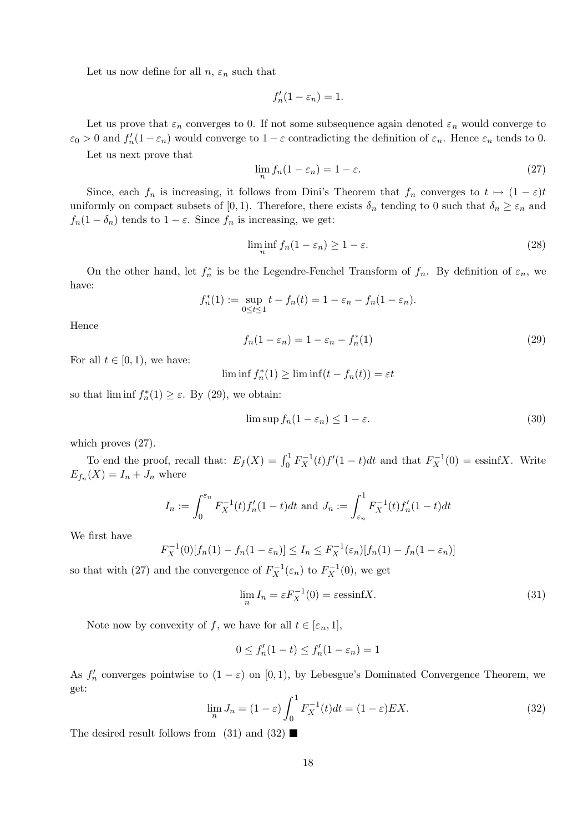Let us now define for all  $n, \varepsilon_n$  such that

$$
f_n'(1 - \varepsilon_n) = 1.
$$

Let us prove that  $\varepsilon_n$  converges to 0. If not some subsequence again denoted  $\varepsilon_n$  would converge to  $\varepsilon_0 > 0$  and  $f'_n(1 - \varepsilon_n)$  would converge to  $1 - \varepsilon$  contradicting the definition of  $\varepsilon_n$ . Hence  $\varepsilon_n$  tends to 0.

Let us next prove that

$$
\lim_{n} f_n(1 - \varepsilon_n) = 1 - \varepsilon. \tag{27}
$$

Since, each  $f_n$  is increasing, it follows from Dini's Theorem that  $f_n$  converges to  $t \mapsto (1-\varepsilon)t$ uniformly on compact subsets of [0, 1). Therefore, there exists  $\delta_n$  tending to 0 such that  $\delta_n \geq \varepsilon_n$  and  $f_n(1 - \delta_n)$  tends to  $1 - \varepsilon$ . Since  $f_n$  is increasing, we get:

$$
\liminf_{n} f_n(1 - \varepsilon_n) \ge 1 - \varepsilon. \tag{28}
$$

On the other hand, let  $f_n^*$  is be the Legendre-Fenchel Transform of  $f_n$ . By definition of  $\varepsilon_n$ , we have:

$$
f_n^*(1) := \sup_{0 \le t \le 1} t - f_n(t) = 1 - \varepsilon_n - f_n(1 - \varepsilon_n).
$$

Hence

$$
f_n(1 - \varepsilon_n) = 1 - \varepsilon_n - f_n^*(1)
$$
\n(29)

For all  $t \in [0, 1)$ , we have:

 $\liminf f_n^*(1) \ge \liminf (t - f_n(t)) = \varepsilon t$ 

so that  $\liminf f_n^*(1) \geq \varepsilon$ . By (29), we obtain:

$$
\limsup f_n(1 - \varepsilon_n) \le 1 - \varepsilon. \tag{30}
$$

which proves  $(27)$ .

To end the proof, recall that:  $E_f(X) = \int_0^1 F_X^{-1}(t) f'(1-t) dt$  and that  $F_X^{-1}(0) = \text{essinf} X$ . Write  $E_{f_n}(X) = I_n + J_n$  where

$$
I_n := \int_0^{\varepsilon_n} F_X^{-1}(t) f_n'(1-t) dt \text{ and } J_n := \int_{\varepsilon_n}^1 F_X^{-1}(t) f_n'(1-t) dt
$$

We first have

$$
F_X^{-1}(0)[f_n(1) - f_n(1 - \varepsilon_n)] \le I_n \le F_X^{-1}(\varepsilon_n)[f_n(1) - f_n(1 - \varepsilon_n)]
$$

so that with (27) and the convergence of  $F_X^{-1}(\varepsilon_n)$  to  $F_X^{-1}(0)$ , we get

$$
\lim_{n} I_n = \varepsilon F_X^{-1}(0) = \varepsilon \operatorname{essinf} X. \tag{31}
$$

Note now by convexity of f, we have for all  $t \in [\varepsilon_n, 1]$ ,

$$
0 \le f'_n(1-t) \le f'_n(1-\varepsilon_n) = 1
$$

As  $f'_n$  converges pointwise to  $(1 - \varepsilon)$  on  $[0, 1)$ , by Lebesgue's Dominated Convergence Theorem, we get:

$$
\lim_{n} J_n = (1 - \varepsilon) \int_0^1 F_X^{-1}(t) dt = (1 - \varepsilon) EX.
$$
\n(32)

The desired result follows from  $(31)$  and  $(32)$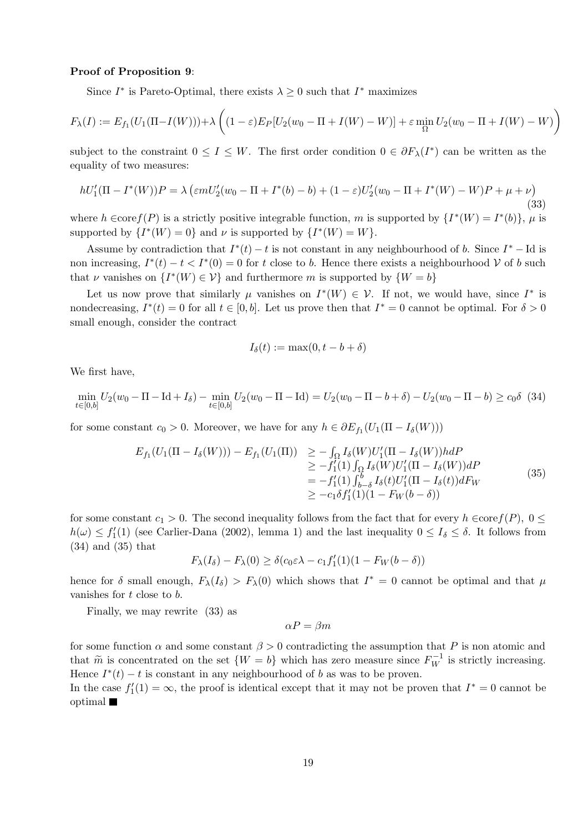#### Proof of Proposition 9:

Since  $I^*$  is Pareto-Optimal, there exists  $\lambda \geq 0$  such that  $I^*$  maximizes

$$
F_{\lambda}(I) := E_{f_1}(U_1(\Pi - I(W))) + \lambda \left( (1 - \varepsilon) E_P[U_2(w_0 - \Pi + I(W) - W)] + \varepsilon \min_{\Omega} U_2(w_0 - \Pi + I(W) - W) \right)
$$

subject to the constraint  $0 \le I \le W$ . The first order condition  $0 \in \partial F_{\lambda}(I^*)$  can be written as the equality of two measures:

$$
hU'_{1}(\Pi - I^{*}(W))P = \lambda \left(\varepsilon mU'_{2}(w_{0} - \Pi + I^{*}(b) - b) + (1 - \varepsilon)U'_{2}(w_{0} - \Pi + I^{*}(W) - W)P + \mu + \nu\right)
$$
\n(33)

where  $h \in \text{core}(P)$  is a strictly positive integrable function, m is supported by  $\{I^*(W) = I^*(b)\}, \mu$  is supported by  $\{I^*(W) = 0\}$  and  $\nu$  is supported by  $\{I^*(W) = W\}$ .

Assume by contradiction that  $I^*(t) - t$  is not constant in any neighbourhood of b. Since  $I^* - \text{Id}$  is non increasing,  $I^*(t) - t < I^*(0) = 0$  for t close to b. Hence there exists a neighbourhood V of b such that  $\nu$  vanishes on  $\{I^*(W) \in \mathcal{V}\}\$ and furthermore m is supported by  $\{W = b\}$ 

Let us now prove that similarly  $\mu$  vanishes on  $I^*(W) \in \mathcal{V}$ . If not, we would have, since  $I^*$  is nondecreasing,  $I^*(t) = 0$  for all  $t \in [0, b]$ . Let us prove then that  $I^* = 0$  cannot be optimal. For  $\delta > 0$ small enough, consider the contract

$$
I_{\delta}(t) := \max(0, t - b + \delta)
$$

We first have,

$$
\min_{t \in [0,b]} U_2(w_0 - \Pi - \text{Id} + I_\delta) - \min_{t \in [0,b]} U_2(w_0 - \Pi - \text{Id}) = U_2(w_0 - \Pi - b + \delta) - U_2(w_0 - \Pi - b) \ge c_0 \delta \tag{34}
$$

for some constant  $c_0 > 0$ . Moreover, we have for any  $h \in \partial E_{f_1}(U_1(\Pi - I_{\delta}(W)))$ 

$$
E_{f_1}(U_1(\Pi - I_{\delta}(W))) - E_{f_1}(U_1(\Pi)) \ge - \int_{\Omega} I_{\delta}(W)U'_1(\Pi - I_{\delta}(W))h dP
$$
  
\n
$$
\ge -f'_1(1) \int_{\Omega} I_{\delta}(W)U'_1(\Pi - I_{\delta}(W))dP
$$
  
\n
$$
= -f'_1(1) \int_{b-\delta}^b I_{\delta}(t)U'_1(\Pi - I_{\delta}(t))dF_W
$$
  
\n
$$
\ge -c_1\delta f'_1(1)(1 - F_W(b - \delta))
$$
\n(35)

for some constant  $c_1 > 0$ . The second inequality follows from the fact that for every  $h \in \text{core}(P)$ ,  $0 \leq$  $h(\omega) \le f_1'(1)$  (see Carlier-Dana (2002), lemma 1) and the last inequality  $0 \le I_\delta \le \delta$ . It follows from (34) and (35) that

$$
F_{\lambda}(I_{\delta}) - F_{\lambda}(0) \ge \delta(c_0 \varepsilon \lambda - c_1 f'_1(1)(1 - F_W(b - \delta))
$$

hence for  $\delta$  small enough,  $F_{\lambda}(I_{\delta}) > F_{\lambda}(0)$  which shows that  $I^* = 0$  cannot be optimal and that  $\mu$ vanishes for  $t$  close to  $b$ .

Finally, we may rewrite (33) as

 $\alpha P = \beta m$ 

for some function  $\alpha$  and some constant  $\beta > 0$  contradicting the assumption that P is non atomic and that  $\widetilde{m}$  is concentrated on the set  $\{W = b\}$  which has zero measure since  $F_W^{-1}$  is strictly increasing. Hence  $I^*(t) - t$  is constant in any neighbourhood of b as was to be proven.

In the case  $f_1'(1) = \infty$ , the proof is identical except that it may not be proven that  $I^* = 0$  cannot be optimal  $\blacksquare$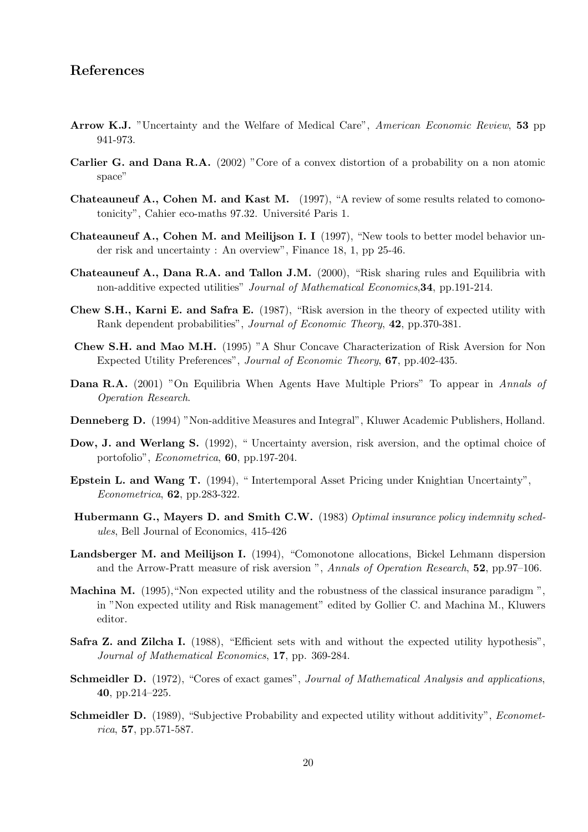## References

- Arrow K.J. "Uncertainty and the Welfare of Medical Care", American Economic Review, 53 pp 941-973.
- Carlier G. and Dana R.A. (2002) "Core of a convex distortion of a probability on a non atomic space"
- Chateauneuf A., Cohen M. and Kast M. (1997), "A review of some results related to comonotonicity", Cahier eco-maths 97.32. Université Paris 1.
- Chateauneuf A., Cohen M. and Meilijson I. I (1997), "New tools to better model behavior under risk and uncertainty : An overview", Finance 18, 1, pp 25-46.
- Chateauneuf A., Dana R.A. and Tallon J.M. (2000), "Risk sharing rules and Equilibria with non-additive expected utilities" Journal of Mathematical Economics,34, pp.191-214.
- Chew S.H., Karni E. and Safra E. (1987), "Risk aversion in the theory of expected utility with Rank dependent probabilities", Journal of Economic Theory, 42, pp.370-381.
- Chew S.H. and Mao M.H. (1995) "A Shur Concave Characterization of Risk Aversion for Non Expected Utility Preferences", Journal of Economic Theory, 67, pp.402-435.
- Dana R.A. (2001) "On Equilibria When Agents Have Multiple Priors" To appear in Annals of Operation Research.
- Denneberg D. (1994) "Non-additive Measures and Integral", Kluwer Academic Publishers, Holland.
- Dow, J. and Werlang S. (1992), "Uncertainty aversion, risk aversion, and the optimal choice of portofolio", Econometrica, 60, pp.197-204.
- Epstein L. and Wang T. (1994), " Intertemporal Asset Pricing under Knightian Uncertainty", Econometrica, 62, pp.283-322.
- Hubermann G., Mayers D. and Smith C.W. (1983) Optimal insurance policy indemnity schedules, Bell Journal of Economics, 415-426
- Landsberger M. and Meilijson I. (1994), "Comonotone allocations, Bickel Lehmann dispersion and the Arrow-Pratt measure of risk aversion ", Annals of Operation Research, 52, pp.97–106.
- Machina M. (1995),"Non expected utility and the robustness of the classical insurance paradigm ", in "Non expected utility and Risk management" edited by Gollier C. and Machina M., Kluwers editor.
- Safra Z. and Zilcha I. (1988), "Efficient sets with and without the expected utility hypothesis", Journal of Mathematical Economics, 17, pp. 369-284.
- Schmeidler D. (1972), "Cores of exact games", Journal of Mathematical Analysis and applications, 40, pp.214–225.
- Schmeidler D. (1989), "Subjective Probability and expected utility without additivity", *Economet*rica, 57, pp.571-587.